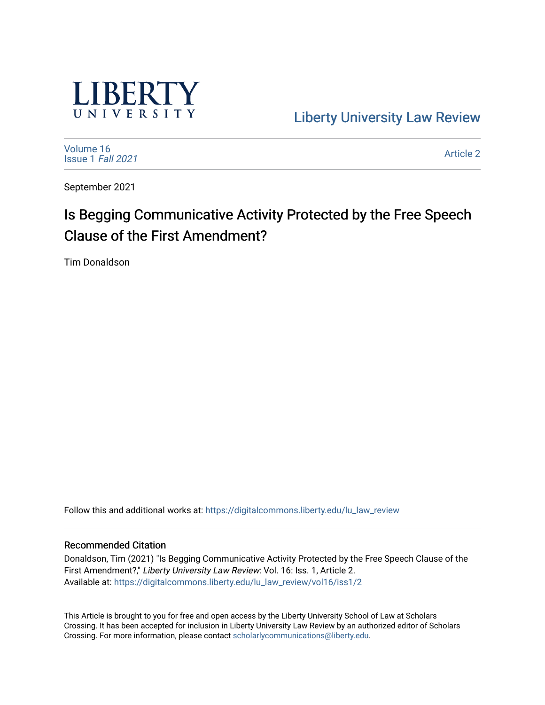

[Liberty University Law Review](https://digitalcommons.liberty.edu/lu_law_review) 

[Volume 16](https://digitalcommons.liberty.edu/lu_law_review/vol16) [Issue 1](https://digitalcommons.liberty.edu/lu_law_review/vol16/iss1) Fall 2021

[Article 2](https://digitalcommons.liberty.edu/lu_law_review/vol16/iss1/2) 

September 2021

# Is Begging Communicative Activity Protected by the Free Speech Clause of the First Amendment?

Tim Donaldson

Follow this and additional works at: [https://digitalcommons.liberty.edu/lu\\_law\\_review](https://digitalcommons.liberty.edu/lu_law_review?utm_source=digitalcommons.liberty.edu%2Flu_law_review%2Fvol16%2Fiss1%2F2&utm_medium=PDF&utm_campaign=PDFCoverPages) 

## Recommended Citation

Donaldson, Tim (2021) "Is Begging Communicative Activity Protected by the Free Speech Clause of the First Amendment?," Liberty University Law Review: Vol. 16: Iss. 1, Article 2. Available at: [https://digitalcommons.liberty.edu/lu\\_law\\_review/vol16/iss1/2](https://digitalcommons.liberty.edu/lu_law_review/vol16/iss1/2?utm_source=digitalcommons.liberty.edu%2Flu_law_review%2Fvol16%2Fiss1%2F2&utm_medium=PDF&utm_campaign=PDFCoverPages) 

This Article is brought to you for free and open access by the Liberty University School of Law at Scholars Crossing. It has been accepted for inclusion in Liberty University Law Review by an authorized editor of Scholars Crossing. For more information, please contact [scholarlycommunications@liberty.edu](mailto:scholarlycommunications@liberty.edu).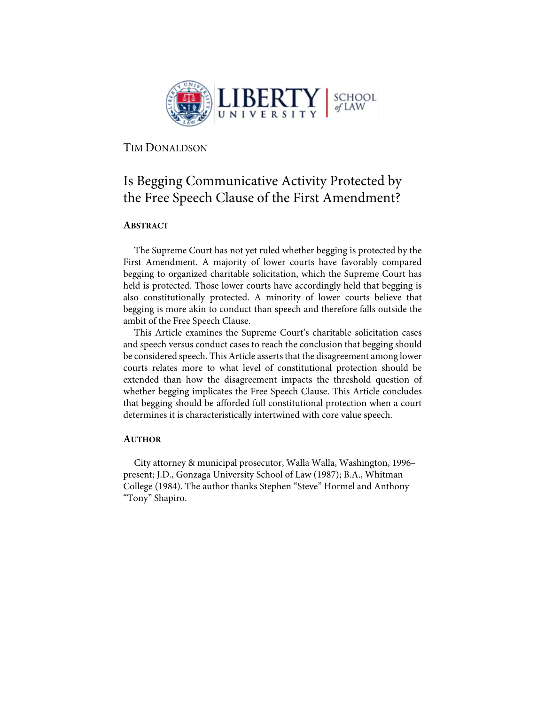

TIM DONALDSON

## Is Begging Communicative Activity Protected by the Free Speech Clause of the First Amendment?

## **ABSTRACT**

The Supreme Court has not yet ruled whether begging is protected by the First Amendment. A majority of lower courts have favorably compared begging to organized charitable solicitation, which the Supreme Court has held is protected. Those lower courts have accordingly held that begging is also constitutionally protected. A minority of lower courts believe that begging is more akin to conduct than speech and therefore falls outside the ambit of the Free Speech Clause.

This Article examines the Supreme Court's charitable solicitation cases and speech versus conduct cases to reach the conclusion that begging should be considered speech. This Article asserts that the disagreement among lower courts relates more to what level of constitutional protection should be extended than how the disagreement impacts the threshold question of whether begging implicates the Free Speech Clause. This Article concludes that begging should be afforded full constitutional protection when a court determines it is characteristically intertwined with core value speech.

## **AUTHOR**

City attorney & municipal prosecutor, Walla Walla, Washington, 1996– present; J.D., Gonzaga University School of Law (1987); B.A., Whitman College (1984). The author thanks Stephen "Steve" Hormel and Anthony "Tony" Shapiro.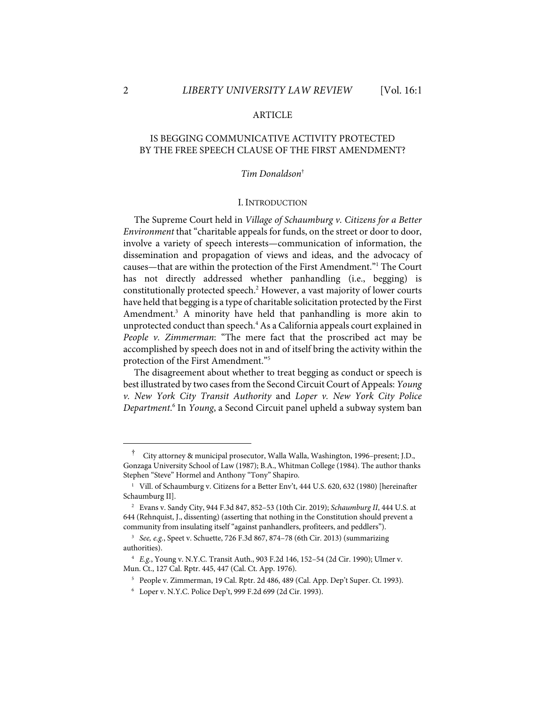## ARTICLE

## IS BEGGING COMMUNICATIVE ACTIVITY PROTECTED BY THE FREE SPEECH CLAUSE OF THE FIRST AMENDMENT?

#### *Tim Donaldson*†

#### I. INTRODUCTION

The Supreme Court held in *Village of Schaumburg v. Citizens for a Better Environment* that "charitable appeals for funds, on the street or door to door, involve a variety of speech interests—communication of information, the dissemination and propagation of views and ideas, and the advocacy of causes—that are within the protection of the First Amendment."1 The Court has not directly addressed whether panhandling (i.e., begging) is constitutionally protected speech.2 However, a vast majority of lower courts have held that begging is a type of charitable solicitation protected by the First Amendment.<sup>3</sup> A minority have held that panhandling is more akin to unprotected conduct than speech.<sup>4</sup> As a California appeals court explained in *People v. Zimmerman*: "The mere fact that the proscribed act may be accomplished by speech does not in and of itself bring the activity within the protection of the First Amendment."5

The disagreement about whether to treat begging as conduct or speech is best illustrated by two cases from the Second Circuit Court of Appeals: *Young v. New York City Transit Authority* and *Loper v. New York City Police Department*. <sup>6</sup> In *Young*, a Second Circuit panel upheld a subway system ban

<sup>†</sup> City attorney & municipal prosecutor, Walla Walla, Washington, 1996–present; J.D., Gonzaga University School of Law (1987); B.A., Whitman College (1984). The author thanks Stephen "Steve" Hormel and Anthony "Tony" Shapiro.

<sup>&</sup>lt;sup>1</sup> Vill. of Schaumburg v. Citizens for a Better Env't, 444 U.S. 620, 632 (1980) [hereinafter Schaumburg II].

<sup>2</sup> Evans v. Sandy City, 944 F.3d 847, 852–53 (10th Cir. 2019); *Schaumburg II*, 444 U.S. at 644 (Rehnquist, J., dissenting) (asserting that nothing in the Constitution should prevent a community from insulating itself "against panhandlers, profiteers, and peddlers").

<sup>3</sup> *See, e.g.*, Speet v. Schuette, 726 F.3d 867, 874–78 (6th Cir. 2013) (summarizing authorities).

<sup>4</sup> *E.g.*, Young v. N.Y.C. Transit Auth., 903 F.2d 146, 152–54 (2d Cir. 1990); Ulmer v. Mun. Ct., 127 Cal. Rptr. 445, 447 (Cal. Ct. App. 1976).

<sup>5</sup> People v. Zimmerman, 19 Cal. Rptr. 2d 486, 489 (Cal. App. Dep't Super. Ct. 1993).

<sup>6</sup> Loper v. N.Y.C. Police Dep't, 999 F.2d 699 (2d Cir. 1993).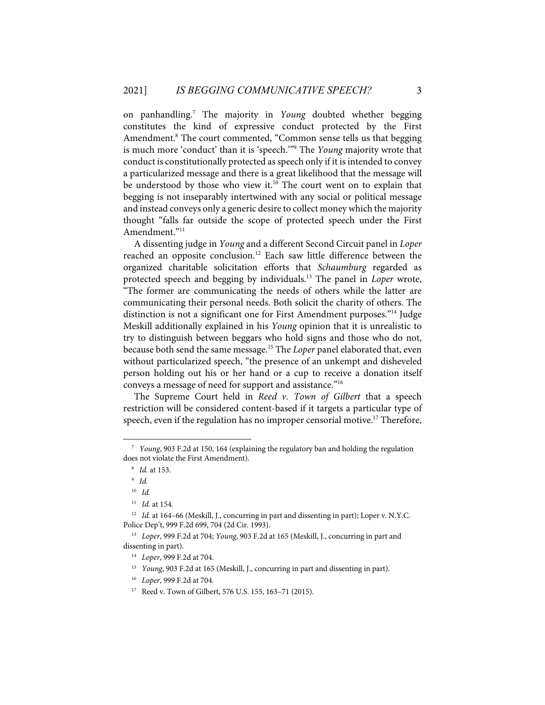on panhandling.7 The majority in *Young* doubted whether begging constitutes the kind of expressive conduct protected by the First Amendment.<sup>8</sup> The court commented, "Common sense tells us that begging is much more 'conduct' than it is 'speech.'"9 The *Young* majority wrote that conduct is constitutionally protected as speech only if it is intended to convey a particularized message and there is a great likelihood that the message will be understood by those who view it.<sup>10</sup> The court went on to explain that begging is not inseparably intertwined with any social or political message and instead conveys only a generic desire to collect money which the majority thought "falls far outside the scope of protected speech under the First Amendment."11

A dissenting judge in *Young* and a different Second Circuit panel in *Loper* reached an opposite conclusion.<sup>12</sup> Each saw little difference between the organized charitable solicitation efforts that *Schaumburg* regarded as protected speech and begging by individuals.13 The panel in *Loper* wrote, "The former are communicating the needs of others while the latter are communicating their personal needs. Both solicit the charity of others. The distinction is not a significant one for First Amendment purposes."14 Judge Meskill additionally explained in his *Young* opinion that it is unrealistic to try to distinguish between beggars who hold signs and those who do not, because both send the same message.15 The *Loper* panel elaborated that, even without particularized speech, "the presence of an unkempt and disheveled person holding out his or her hand or a cup to receive a donation itself conveys a message of need for support and assistance."16

The Supreme Court held in *Reed v. Town of Gilbert* that a speech restriction will be considered content-based if it targets a particular type of speech, even if the regulation has no improper censorial motive.<sup>17</sup> Therefore,

<sup>7</sup> *Young*, 903 F.2d at 150, 164 (explaining the regulatory ban and holding the regulation does not violate the First Amendment).

<sup>8</sup> *Id.* at 153.

<sup>9</sup> *Id.*

<sup>10</sup> *Id.*

<sup>11</sup> *Id.* at 154.

<sup>&</sup>lt;sup>12</sup> *Id.* at 164–66 (Meskill, J., concurring in part and dissenting in part); Loper v. N.Y.C. Police Dep't, 999 F.2d 699, 704 (2d Cir. 1993).

<sup>13</sup> *Loper*, 999 F.2d at 704; *Young*, 903 F.2d at 165 (Meskill, J., concurring in part and dissenting in part).

<sup>14</sup> *Loper*, 999 F.2d at 704.

<sup>&</sup>lt;sup>15</sup> *Young*, 903 F.2d at 165 (Meskill, J., concurring in part and dissenting in part).

<sup>16</sup> *Loper*, 999 F.2d at 704.

<sup>17</sup> Reed v. Town of Gilbert, 576 U.S. 155, 163–71 (2015).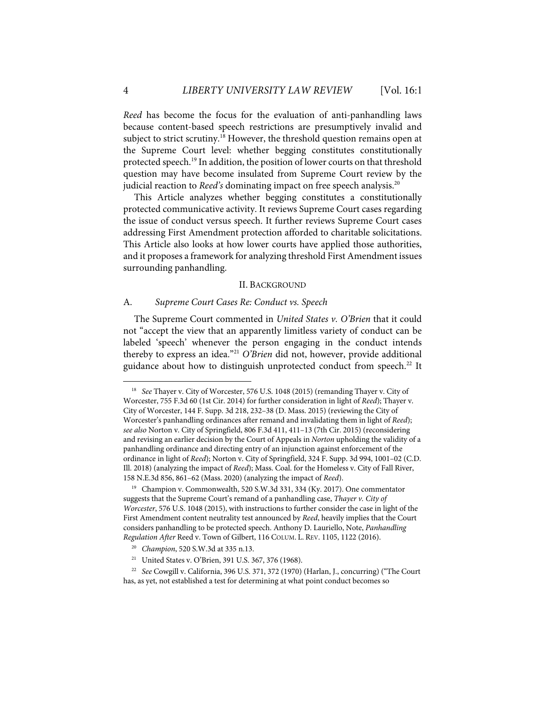*Reed* has become the focus for the evaluation of anti-panhandling laws because content-based speech restrictions are presumptively invalid and subject to strict scrutiny.<sup>18</sup> However, the threshold question remains open at the Supreme Court level: whether begging constitutes constitutionally protected speech.19 In addition, the position of lower courts on that threshold question may have become insulated from Supreme Court review by the judicial reaction to *Reed's* dominating impact on free speech analysis.<sup>20</sup>

This Article analyzes whether begging constitutes a constitutionally protected communicative activity. It reviews Supreme Court cases regarding the issue of conduct versus speech. It further reviews Supreme Court cases addressing First Amendment protection afforded to charitable solicitations. This Article also looks at how lower courts have applied those authorities, and it proposes a framework for analyzing threshold First Amendment issues surrounding panhandling.

#### II. BACKGROUND

#### A. *Supreme Court Cases Re: Conduct vs. Speech*

The Supreme Court commented in *United States v. O'Brien* that it could not "accept the view that an apparently limitless variety of conduct can be labeled 'speech' whenever the person engaging in the conduct intends thereby to express an idea."21 *O'Brien* did not, however, provide additional guidance about how to distinguish unprotected conduct from speech.<sup>22</sup> It

<sup>18</sup> *See* Thayer v. City of Worcester, 576 U.S. 1048 (2015) (remanding Thayer v. City of Worcester, 755 F.3d 60 (1st Cir. 2014) for further consideration in light of *Reed*); Thayer v. City of Worcester, 144 F. Supp. 3d 218, 232–38 (D. Mass. 2015) (reviewing the City of Worcester's panhandling ordinances after remand and invalidating them in light of *Reed*); *see also* Norton v. City of Springfield, 806 F.3d 411, 411–13 (7th Cir. 2015) (reconsidering and revising an earlier decision by the Court of Appeals in *Norton* upholding the validity of a panhandling ordinance and directing entry of an injunction against enforcement of the ordinance in light of *Reed*); Norton v. City of Springfield, 324 F. Supp. 3d 994, 1001–02 (C.D. Ill. 2018) (analyzing the impact of *Reed*); Mass. Coal. for the Homeless v. City of Fall River, 158 N.E.3d 856, 861–62 (Mass. 2020) (analyzing the impact of *Reed*).

<sup>19</sup> Champion v. Commonwealth, 520 S.W.3d 331, 334 (Ky. 2017). One commentator suggests that the Supreme Court's remand of a panhandling case, *Thayer v. City of Worcester*, 576 U.S. 1048 (2015), with instructions to further consider the case in light of the First Amendment content neutrality test announced by *Reed*, heavily implies that the Court considers panhandling to be protected speech. Anthony D. Lauriello, Note, *Panhandling Regulation After* Reed v. Town of Gilbert, 116 COLUM. L. REV. 1105, 1122 (2016).

<sup>20</sup> *Champion*, 520 S.W.3d at 335 n.13.

<sup>21</sup> United States v. O'Brien, 391 U.S. 367, 376 (1968).

<sup>22</sup> *See* Cowgill v. California, 396 U.S. 371, 372 (1970) (Harlan, J., concurring) ("The Court has, as yet, not established a test for determining at what point conduct becomes so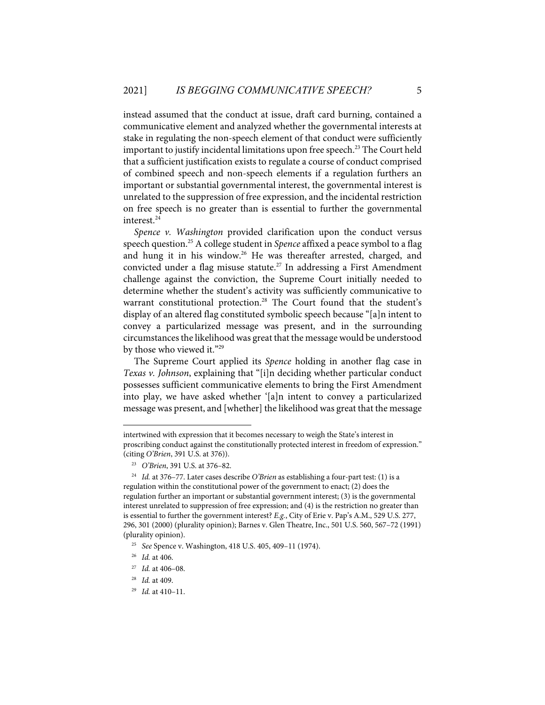instead assumed that the conduct at issue, draft card burning, contained a communicative element and analyzed whether the governmental interests at stake in regulating the non-speech element of that conduct were sufficiently important to justify incidental limitations upon free speech.<sup>23</sup> The Court held that a sufficient justification exists to regulate a course of conduct comprised of combined speech and non-speech elements if a regulation furthers an important or substantial governmental interest, the governmental interest is unrelated to the suppression of free expression, and the incidental restriction on free speech is no greater than is essential to further the governmental interest.<sup>24</sup>

*Spence v. Washington* provided clarification upon the conduct versus speech question.25 A college student in *Spence* affixed a peace symbol to a flag and hung it in his window.<sup>26</sup> He was thereafter arrested, charged, and convicted under a flag misuse statute.<sup>27</sup> In addressing a First Amendment challenge against the conviction, the Supreme Court initially needed to determine whether the student's activity was sufficiently communicative to warrant constitutional protection.<sup>28</sup> The Court found that the student's display of an altered flag constituted symbolic speech because "[a]n intent to convey a particularized message was present, and in the surrounding circumstances the likelihood was great that the message would be understood by those who viewed it."<sup>29</sup>

The Supreme Court applied its *Spence* holding in another flag case in *Texas v. Johnson*, explaining that "[i]n deciding whether particular conduct possesses sufficient communicative elements to bring the First Amendment into play, we have asked whether '[a]n intent to convey a particularized message was present, and [whether] the likelihood was great that the message

intertwined with expression that it becomes necessary to weigh the State's interest in proscribing conduct against the constitutionally protected interest in freedom of expression." (citing *O'Brien*, 391 U.S. at 376)).

<sup>23</sup> *O'Brien*, 391 U.S. at 376–82.

<sup>24</sup> *Id.* at 376–77. Later cases describe *O'Brien* as establishing a four-part test: (1) is a regulation within the constitutional power of the government to enact; (2) does the regulation further an important or substantial government interest; (3) is the governmental interest unrelated to suppression of free expression; and (4) is the restriction no greater than is essential to further the government interest? *E.g.*, City of Erie v. Pap's A.M., 529 U.S. 277, 296, 301 (2000) (plurality opinion); Barnes v. Glen Theatre, Inc., 501 U.S. 560, 567–72 (1991) (plurality opinion).

<sup>25</sup> *See* Spence v. Washington, 418 U.S. 405, 409–11 (1974).

<sup>26</sup> *Id.* at 406.

<sup>27</sup> *Id.* at 406–08.

<sup>28</sup> *Id.* at 409.

<sup>29</sup> *Id.* at 410–11.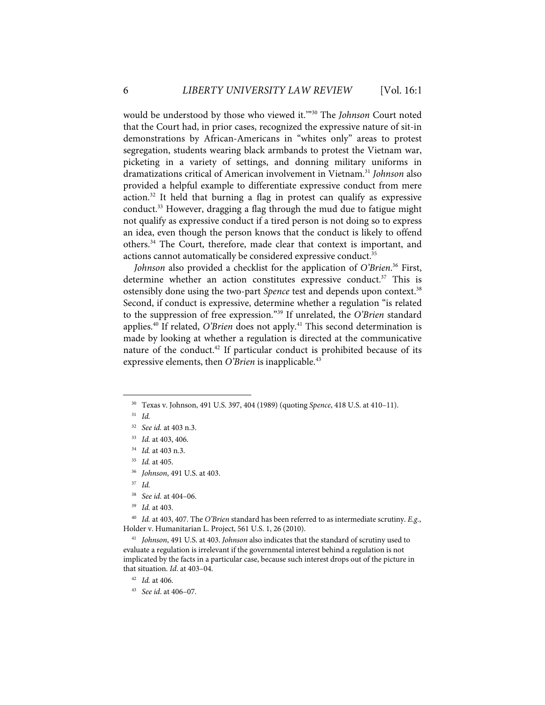would be understood by those who viewed it.'"30 The *Johnson* Court noted that the Court had, in prior cases, recognized the expressive nature of sit-in demonstrations by African-Americans in "whites only" areas to protest segregation, students wearing black armbands to protest the Vietnam war, picketing in a variety of settings, and donning military uniforms in dramatizations critical of American involvement in Vietnam.31 *Johnson* also provided a helpful example to differentiate expressive conduct from mere action.32 It held that burning a flag in protest can qualify as expressive conduct.33 However, dragging a flag through the mud due to fatigue might not qualify as expressive conduct if a tired person is not doing so to express an idea, even though the person knows that the conduct is likely to offend others.<sup>34</sup> The Court, therefore, made clear that context is important, and actions cannot automatically be considered expressive conduct.<sup>35</sup>

*Johnson* also provided a checklist for the application of *O'Brien*. <sup>36</sup> First, determine whether an action constitutes expressive conduct.<sup>37</sup> This is ostensibly done using the two-part *Spence* test and depends upon context.<sup>38</sup> Second, if conduct is expressive, determine whether a regulation "is related to the suppression of free expression."39 If unrelated, the *O'Brien* standard applies.<sup>40</sup> If related, *O'Brien* does not apply.<sup>41</sup> This second determination is made by looking at whether a regulation is directed at the communicative nature of the conduct.<sup>42</sup> If particular conduct is prohibited because of its expressive elements, then *O'Brien* is inapplicable.<sup>43</sup>

- 34 *Id.* at 403 n.3.
- 35 *Id.* at 405.
- 36 *Johnson*, 491 U.S. at 403.
- 37 *Id.*
- 38 *See id.* at 404–06.
- 39 *Id.* at 403.

40 *Id.* at 403, 407. The *O'Brien* standard has been referred to as intermediate scrutiny. *E.g.*, Holder v. Humanitarian L. Project, 561 U.S. 1, 26 (2010).

41 *Johnson*, 491 U.S. at 403. *Johnson* also indicates that the standard of scrutiny used to evaluate a regulation is irrelevant if the governmental interest behind a regulation is not implicated by the facts in a particular case, because such interest drops out of the picture in that situation. *Id*. at 403–04.

42 *Id.* at 406.

<sup>30</sup> Texas v. Johnson, 491 U.S. 397, 404 (1989) (quoting *Spence*, 418 U.S. at 410–11).

<sup>31</sup> *Id.*

<sup>32</sup> *See id.* at 403 n.3.

<sup>33</sup> *Id.* at 403, 406.

<sup>43</sup> *See id*. at 406–07.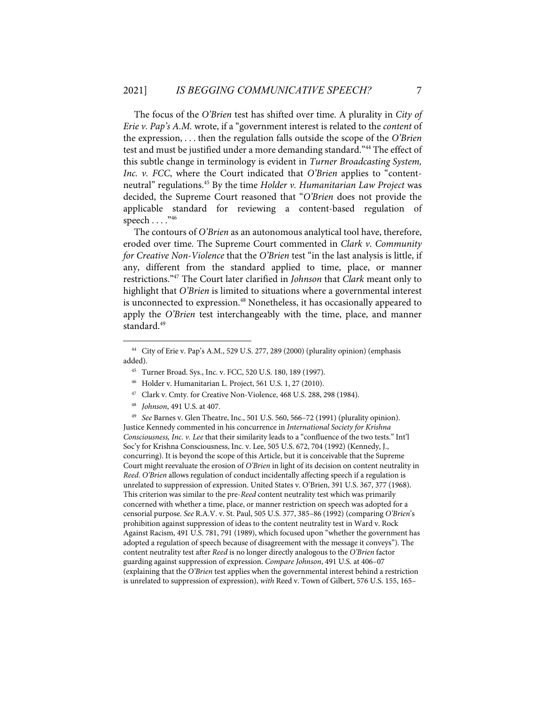The focus of the *O'Brien* test has shifted over time. A plurality in *City of Erie v. Pap's A.M.* wrote, if a "government interest is related to the *content* of the expression, . . . then the regulation falls outside the scope of the *O'Brien* test and must be justified under a more demanding standard."<sup>44</sup> The effect of this subtle change in terminology is evident in *Turner Broadcasting System, Inc. v. FCC*, where the Court indicated that *O'Brien* applies to "contentneutral" regulations.45 By the time *Holder v. Humanitarian Law Project* was decided, the Supreme Court reasoned that "*O'Brien* does not provide the applicable standard for reviewing a content-based regulation of speech . . . . "46

The contours of *O'Brien* as an autonomous analytical tool have, therefore, eroded over time. The Supreme Court commented in *Clark v. Community for Creative Non-Violence* that the *O'Brien* test "in the last analysis is little, if any, different from the standard applied to time, place, or manner restrictions."47 The Court later clarified in *Johnson* that *Clark* meant only to highlight that *O'Brien* is limited to situations where a governmental interest is unconnected to expression.<sup>48</sup> Nonetheless, it has occasionally appeared to apply the *O'Brien* test interchangeably with the time, place, and manner standard.<sup>49</sup>

45 Turner Broad. Sys., Inc. v. FCC, 520 U.S. 180, 189 (1997).

47 Clark v. Cmty. for Creative Non-Violence, 468 U.S. 288, 298 (1984).

49 *See* Barnes v. Glen Theatre, Inc., 501 U.S. 560, 566–72 (1991) (plurality opinion). Justice Kennedy commented in his concurrence in *International Society for Krishna Consciousness, Inc. v. Lee* that their similarity leads to a "confluence of the two tests." Int'l Soc'y for Krishna Consciousness, Inc. v. Lee, 505 U.S. 672, 704 (1992) (Kennedy, J., concurring). It is beyond the scope of this Article, but it is conceivable that the Supreme Court might reevaluate the erosion of *O'Brien* in light of its decision on content neutrality in *Reed*. *O'Brien* allows regulation of conduct incidentally affecting speech if a regulation is unrelated to suppression of expression. United States v. O'Brien, 391 U.S. 367, 377 (1968). This criterion was similar to the pre-*Reed* content neutrality test which was primarily concerned with whether a time, place, or manner restriction on speech was adopted for a censorial purpose. *See* R.A.V. v. St. Paul, 505 U.S. 377, 385–86 (1992) (comparing *O'Brien*'s prohibition against suppression of ideas to the content neutrality test in Ward v. Rock Against Racism, 491 U.S. 781, 791 (1989), which focused upon "whether the government has adopted a regulation of speech because of disagreement with the message it conveys"). The content neutrality test after *Reed* is no longer directly analogous to the *O'Brien* factor guarding against suppression of expression. *Compare Johnson*, 491 U.S. at 406–07 (explaining that the *O'Brien* test applies when the governmental interest behind a restriction is unrelated to suppression of expression), *with* Reed v. Town of Gilbert, 576 U.S. 155, 165–

<sup>44</sup> City of Erie v. Pap's A.M., 529 U.S. 277, 289 (2000) (plurality opinion) (emphasis added).

<sup>46</sup> Holder v. Humanitarian L. Project, 561 U.S. 1, 27 (2010).

<sup>48</sup> *Johnson*, 491 U.S. at 407.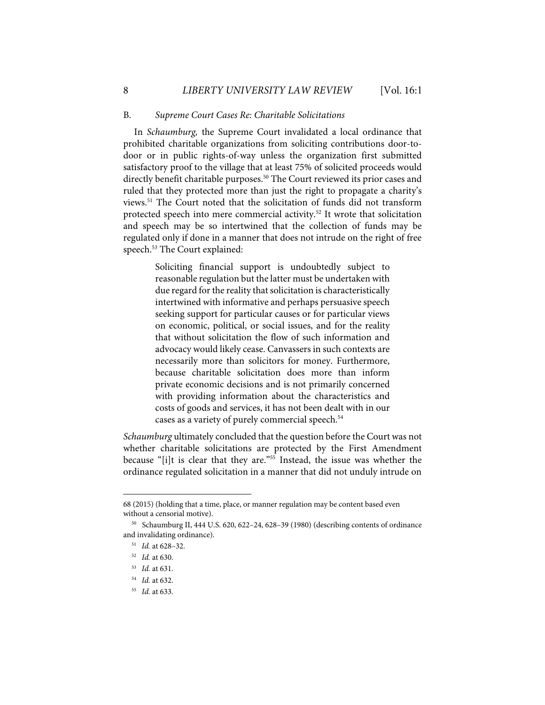#### B. *Supreme Court Cases Re: Charitable Solicitations*

In *Schaumburg,* the Supreme Court invalidated a local ordinance that prohibited charitable organizations from soliciting contributions door-todoor or in public rights-of-way unless the organization first submitted satisfactory proof to the village that at least 75% of solicited proceeds would directly benefit charitable purposes.<sup>50</sup> The Court reviewed its prior cases and ruled that they protected more than just the right to propagate a charity's views.51 The Court noted that the solicitation of funds did not transform protected speech into mere commercial activity.<sup>52</sup> It wrote that solicitation and speech may be so intertwined that the collection of funds may be regulated only if done in a manner that does not intrude on the right of free speech.<sup>53</sup> The Court explained:

> Soliciting financial support is undoubtedly subject to reasonable regulation but the latter must be undertaken with due regard for the reality that solicitation is characteristically intertwined with informative and perhaps persuasive speech seeking support for particular causes or for particular views on economic, political, or social issues, and for the reality that without solicitation the flow of such information and advocacy would likely cease. Canvassers in such contexts are necessarily more than solicitors for money. Furthermore, because charitable solicitation does more than inform private economic decisions and is not primarily concerned with providing information about the characteristics and costs of goods and services, it has not been dealt with in our cases as a variety of purely commercial speech.<sup>54</sup>

*Schaumburg* ultimately concluded that the question before the Court was not whether charitable solicitations are protected by the First Amendment because "[i]t is clear that they are."55 Instead, the issue was whether the ordinance regulated solicitation in a manner that did not unduly intrude on

<sup>68 (2015) (</sup>holding that a time, place, or manner regulation may be content based even without a censorial motive).

<sup>50</sup> Schaumburg II, 444 U.S. 620, 622–24, 628–39 (1980) (describing contents of ordinance and invalidating ordinance).

<sup>51</sup> *Id.* at 628–32.

<sup>52</sup> *Id.* at 630.

<sup>53</sup> *Id.* at 631.

<sup>54</sup> *Id.* at 632.

<sup>55</sup> *Id.* at 633.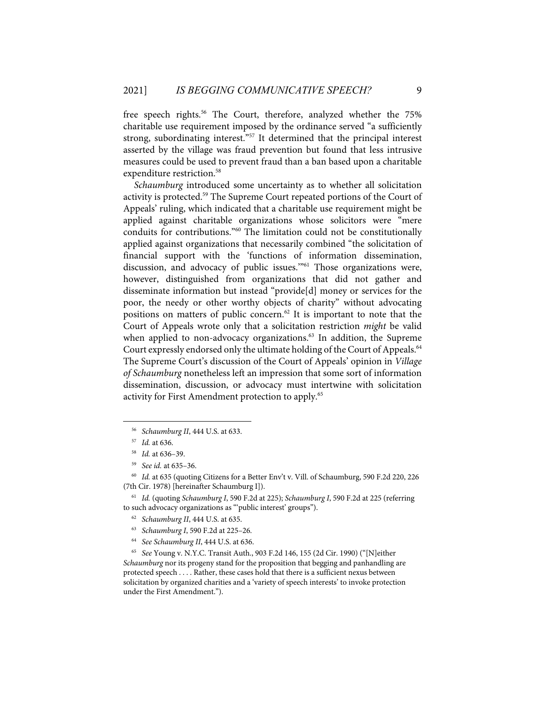free speech rights.<sup>56</sup> The Court, therefore, analyzed whether the 75% charitable use requirement imposed by the ordinance served "a sufficiently strong, subordinating interest.<sup>"57</sup> It determined that the principal interest asserted by the village was fraud prevention but found that less intrusive measures could be used to prevent fraud than a ban based upon a charitable expenditure restriction.<sup>58</sup>

*Schaumburg* introduced some uncertainty as to whether all solicitation activity is protected.<sup>59</sup> The Supreme Court repeated portions of the Court of Appeals' ruling, which indicated that a charitable use requirement might be applied against charitable organizations whose solicitors were "mere conduits for contributions."60 The limitation could not be constitutionally applied against organizations that necessarily combined "the solicitation of financial support with the 'functions of information dissemination, discussion, and advocacy of public issues."<sup>61</sup> Those organizations were, however, distinguished from organizations that did not gather and disseminate information but instead "provide[d] money or services for the poor, the needy or other worthy objects of charity" without advocating positions on matters of public concern.62 It is important to note that the Court of Appeals wrote only that a solicitation restriction *might* be valid when applied to non-advocacy organizations.<sup>63</sup> In addition, the Supreme Court expressly endorsed only the ultimate holding of the Court of Appeals.<sup>64</sup> The Supreme Court's discussion of the Court of Appeals' opinion in *Village of Schaumburg* nonetheless left an impression that some sort of information dissemination, discussion, or advocacy must intertwine with solicitation activity for First Amendment protection to apply.<sup>65</sup>

64 *See Schaumburg II*, 444 U.S. at 636.

<sup>56</sup> *Schaumburg II*, 444 U.S. at 633.

<sup>57</sup> *Id.* at 636.

<sup>58</sup> *Id.* at 636–39.

<sup>59</sup> *See id.* at 635–36.

<sup>60</sup> *Id.* at 635 (quoting Citizens for a Better Env't v. Vill. of Schaumburg, 590 F.2d 220, 226 (7th Cir. 1978) [hereinafter Schaumburg I]).

<sup>61</sup> *Id.* (quoting *Schaumburg I*, 590 F.2d at 225); *Schaumburg I*, 590 F.2d at 225 (referring to such advocacy organizations as "'public interest' groups").

<sup>62</sup> *Schaumburg II*, 444 U.S. at 635.

<sup>63</sup> *Schaumburg I*, 590 F.2d at 225–26.

<sup>65</sup> *See* Young v. N.Y.C. Transit Auth., 903 F.2d 146, 155 (2d Cir. 1990) ("[N]either *Schaumburg* nor its progeny stand for the proposition that begging and panhandling are protected speech . . . . Rather, these cases hold that there is a sufficient nexus between solicitation by organized charities and a 'variety of speech interests' to invoke protection under the First Amendment.").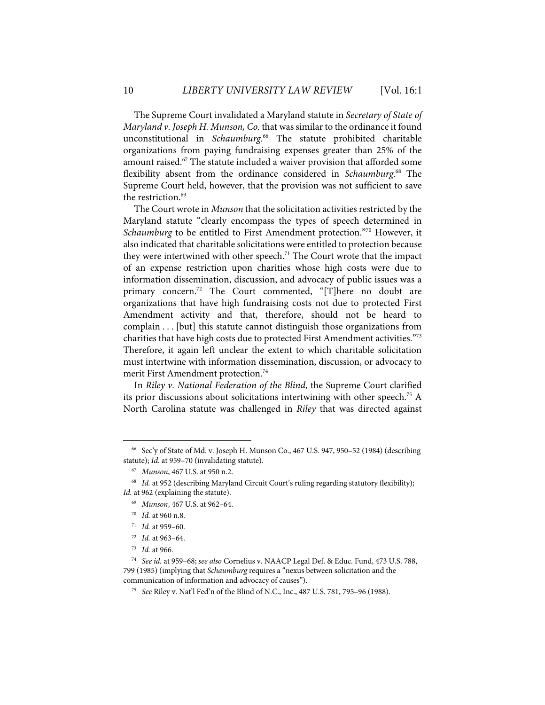The Supreme Court invalidated a Maryland statute in *Secretary of State of Maryland v. Joseph H. Munson, Co.* that was similar to the ordinance it found unconstitutional in *Schaumburg*. <sup>66</sup> The statute prohibited charitable organizations from paying fundraising expenses greater than 25% of the amount raised.<sup>67</sup> The statute included a waiver provision that afforded some flexibility absent from the ordinance considered in *Schaumburg*. <sup>68</sup> The Supreme Court held, however, that the provision was not sufficient to save the restriction.<sup>69</sup>

The Court wrote in *Munson* that the solicitation activities restricted by the Maryland statute "clearly encompass the types of speech determined in *Schaumburg* to be entitled to First Amendment protection."70 However, it also indicated that charitable solicitations were entitled to protection because they were intertwined with other speech.<sup>71</sup> The Court wrote that the impact of an expense restriction upon charities whose high costs were due to information dissemination, discussion, and advocacy of public issues was a primary concern.<sup>72</sup> The Court commented, "[T]here no doubt are organizations that have high fundraising costs not due to protected First Amendment activity and that, therefore, should not be heard to complain . . . [but] this statute cannot distinguish those organizations from charities that have high costs due to protected First Amendment activities."<sup>73</sup> Therefore, it again left unclear the extent to which charitable solicitation must intertwine with information dissemination, discussion, or advocacy to merit First Amendment protection.<sup>74</sup>

In *Riley v. National Federation of the Blind*, the Supreme Court clarified its prior discussions about solicitations intertwining with other speech.<sup>75</sup> A North Carolina statute was challenged in *Riley* that was directed against

<sup>66</sup> Sec'y of State of Md. v. Joseph H. Munson Co., 467 U.S. 947, 950–52 (1984) (describing statute); *Id.* at 959–70 (invalidating statute).

<sup>67</sup> *Munson*, 467 U.S. at 950 n.2.

<sup>&</sup>lt;sup>68</sup> Id. at 952 (describing Maryland Circuit Court's ruling regarding statutory flexibility); Id. at 962 (explaining the statute).

<sup>69</sup> *Munson*, 467 U.S. at 962–64.

<sup>70</sup> *Id.* at 960 n.8.

<sup>71</sup> *Id.* at 959–60.

<sup>72</sup> *Id.* at 963–64.

<sup>73</sup> *Id.* at 966.

<sup>74</sup> *See id.* at 959–68; *see also* Cornelius v. NAACP Legal Def. & Educ. Fund, 473 U.S. 788, 799 (1985) (implying that *Schaumburg* requires a "nexus between solicitation and the communication of information and advocacy of causes").

<sup>75</sup> *See* Riley v. Nat'l Fed'n of the Blind of N.C., Inc., 487 U.S. 781, 795–96 (1988).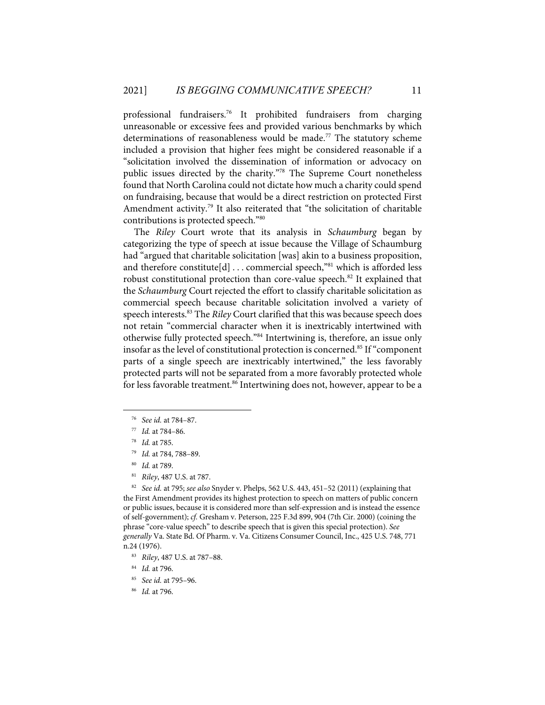professional fundraisers.76 It prohibited fundraisers from charging unreasonable or excessive fees and provided various benchmarks by which determinations of reasonableness would be made.<sup>77</sup> The statutory scheme included a provision that higher fees might be considered reasonable if a "solicitation involved the dissemination of information or advocacy on public issues directed by the charity."78 The Supreme Court nonetheless found that North Carolina could not dictate how much a charity could spend on fundraising, because that would be a direct restriction on protected First Amendment activity.<sup>79</sup> It also reiterated that "the solicitation of charitable contributions is protected speech."80

The *Riley* Court wrote that its analysis in *Schaumburg* began by categorizing the type of speech at issue because the Village of Schaumburg had "argued that charitable solicitation [was] akin to a business proposition, and therefore constitute[d]  $\dots$  commercial speech,"<sup>81</sup> which is afforded less robust constitutional protection than core-value speech.<sup>82</sup> It explained that the *Schaumburg* Court rejected the effort to classify charitable solicitation as commercial speech because charitable solicitation involved a variety of speech interests.<sup>83</sup> The *Riley* Court clarified that this was because speech does not retain "commercial character when it is inextricably intertwined with otherwise fully protected speech."84 Intertwining is, therefore, an issue only insofar as the level of constitutional protection is concerned.<sup>85</sup> If "component parts of a single speech are inextricably intertwined," the less favorably protected parts will not be separated from a more favorably protected whole for less favorable treatment.<sup>86</sup> Intertwining does not, however, appear to be a

81 *Riley*, 487 U.S. at 787.

82 *See id.* at 795; *see also* Snyder v. Phelps, 562 U.S. 443, 451–52 (2011) (explaining that the First Amendment provides its highest protection to speech on matters of public concern or public issues, because it is considered more than self-expression and is instead the essence of self-government); *cf.* Gresham v. Peterson, 225 F.3d 899, 904 (7th Cir. 2000) (coining the phrase "core-value speech" to describe speech that is given this special protection). *See generally* Va. State Bd. Of Pharm. v. Va. Citizens Consumer Council, Inc., 425 U.S. 748, 771 n.24 (1976).

- 84 *Id.* at 796.
- 85 *See id.* at 795–96.
- 86 *Id.* at 796.

<sup>76</sup> *See id.* at 784–87.

<sup>77</sup> *Id.* at 784–86.

<sup>78</sup> *Id.* at 785.

<sup>79</sup> *Id.* at 784, 788–89.

<sup>80</sup> *Id.* at 789.

<sup>83</sup> *Riley*, 487 U.S. at 787–88.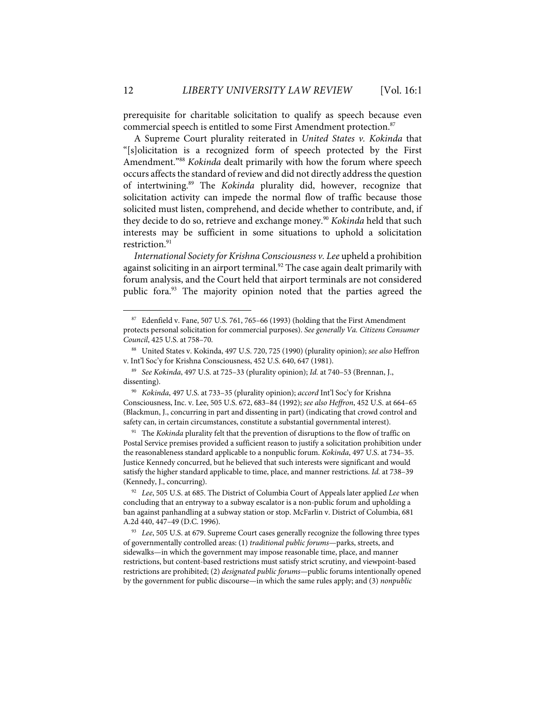prerequisite for charitable solicitation to qualify as speech because even commercial speech is entitled to some First Amendment protection.<sup>87</sup>

A Supreme Court plurality reiterated in *United States v. Kokinda* that "[s]olicitation is a recognized form of speech protected by the First Amendment."88 *Kokinda* dealt primarily with how the forum where speech occurs affects the standard of review and did not directly address the question of intertwining.89 The *Kokinda* plurality did, however, recognize that solicitation activity can impede the normal flow of traffic because those solicited must listen, comprehend, and decide whether to contribute, and, if they decide to do so, retrieve and exchange money.<sup>90</sup> *Kokinda* held that such interests may be sufficient in some situations to uphold a solicitation restriction.<sup>91</sup>

*International Society for Krishna Consciousness v. Lee* upheld a prohibition against soliciting in an airport terminal.<sup>92</sup> The case again dealt primarily with forum analysis, and the Court held that airport terminals are not considered public fora.<sup>93</sup> The majority opinion noted that the parties agreed the

 $87$  Edenfield v. Fane, 507 U.S. 761, 765–66 (1993) (holding that the First Amendment protects personal solicitation for commercial purposes). *See generally Va. Citizens Consumer Council*, 425 U.S. at 758–70.

<sup>88</sup> United States v. Kokinda, 497 U.S. 720, 725 (1990) (plurality opinion); *see also* Heffron v. Int'l Soc'y for Krishna Consciousness, 452 U.S. 640, 647 (1981).

<sup>89</sup> *See Kokinda*, 497 U.S. at 725–33 (plurality opinion); *Id.* at 740–53 (Brennan, J., dissenting).

<sup>90</sup> *Kokinda*, 497 U.S. at 733–35 (plurality opinion); *accord* Int'l Soc'y for Krishna Consciousness, Inc. v. Lee, 505 U.S. 672, 683–84 (1992); *see also Heffron*, 452 U.S. at 664–65 (Blackmun, J., concurring in part and dissenting in part) (indicating that crowd control and safety can, in certain circumstances, constitute a substantial governmental interest).

<sup>&</sup>lt;sup>91</sup> The *Kokinda* plurality felt that the prevention of disruptions to the flow of traffic on Postal Service premises provided a sufficient reason to justify a solicitation prohibition under the reasonableness standard applicable to a nonpublic forum. *Kokinda*, 497 U.S. at 734–35. Justice Kennedy concurred, but he believed that such interests were significant and would satisfy the higher standard applicable to time, place, and manner restrictions. *Id.* at 738–39 (Kennedy, J., concurring).

<sup>92</sup> *Lee*, 505 U.S. at 685. The District of Columbia Court of Appeals later applied *Lee* when concluding that an entryway to a subway escalator is a non-public forum and upholding a ban against panhandling at a subway station or stop. McFarlin v. District of Columbia, 681 A.2d 440, 447–49 (D.C. 1996).

<sup>&</sup>lt;sup>93</sup> *Lee*, 505 U.S. at 679. Supreme Court cases generally recognize the following three types of governmentally controlled areas: (1) *traditional public forums*—parks, streets, and sidewalks—in which the government may impose reasonable time, place, and manner restrictions, but content-based restrictions must satisfy strict scrutiny, and viewpoint-based restrictions are prohibited; (2) *designated public forums—*public forums intentionally opened by the government for public discourse—in which the same rules apply; and (3) *nonpublic*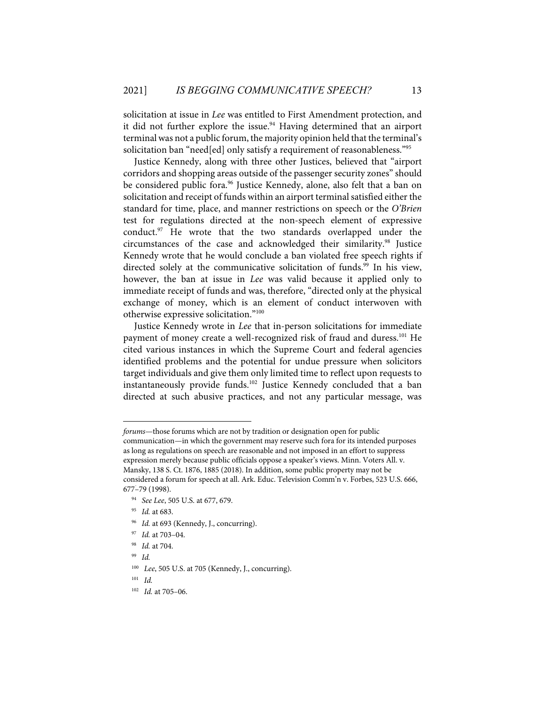solicitation at issue in *Lee* was entitled to First Amendment protection, and it did not further explore the issue.<sup>94</sup> Having determined that an airport terminal was not a public forum, the majority opinion held that the terminal's solicitation ban "need[ed] only satisfy a requirement of reasonableness."95

Justice Kennedy, along with three other Justices, believed that "airport corridors and shopping areas outside of the passenger security zones" should be considered public fora.<sup>96</sup> Justice Kennedy, alone, also felt that a ban on solicitation and receipt of funds within an airport terminal satisfied either the standard for time, place, and manner restrictions on speech or the *O'Brien* test for regulations directed at the non-speech element of expressive conduct. $97$  He wrote that the two standards overlapped under the circumstances of the case and acknowledged their similarity.98 Justice Kennedy wrote that he would conclude a ban violated free speech rights if directed solely at the communicative solicitation of funds.<sup>99</sup> In his view, however, the ban at issue in *Lee* was valid because it applied only to immediate receipt of funds and was, therefore, "directed only at the physical exchange of money, which is an element of conduct interwoven with otherwise expressive solicitation."100

Justice Kennedy wrote in *Lee* that in-person solicitations for immediate payment of money create a well-recognized risk of fraud and duress.<sup>101</sup> He cited various instances in which the Supreme Court and federal agencies identified problems and the potential for undue pressure when solicitors target individuals and give them only limited time to reflect upon requests to instantaneously provide funds.102 Justice Kennedy concluded that a ban directed at such abusive practices, and not any particular message, was

- 94 *See Lee*, 505 U.S. at 677, 679.
- 95 *Id.* at 683.
- <sup>96</sup> Id. at 693 (Kennedy, J., concurring).
- 97 *Id.* at 703–04.
- 98 *Id.* at 704.
- 99 *Id.*

101 *Id.* 

*forums*—those forums which are not by tradition or designation open for public communication—in which the government may reserve such fora for its intended purposes as long as regulations on speech are reasonable and not imposed in an effort to suppress expression merely because public officials oppose a speaker's views. Minn. Voters All. v. Mansky, 138 S. Ct. 1876, 1885 (2018). In addition, some public property may not be considered a forum for speech at all. Ark. Educ. Television Comm'n v. Forbes, 523 U.S. 666, 677ؘ–79 (1998).

<sup>100</sup> *Lee*, 505 U.S. at 705 (Kennedy, J., concurring).

<sup>102</sup> *Id.* at 705–06.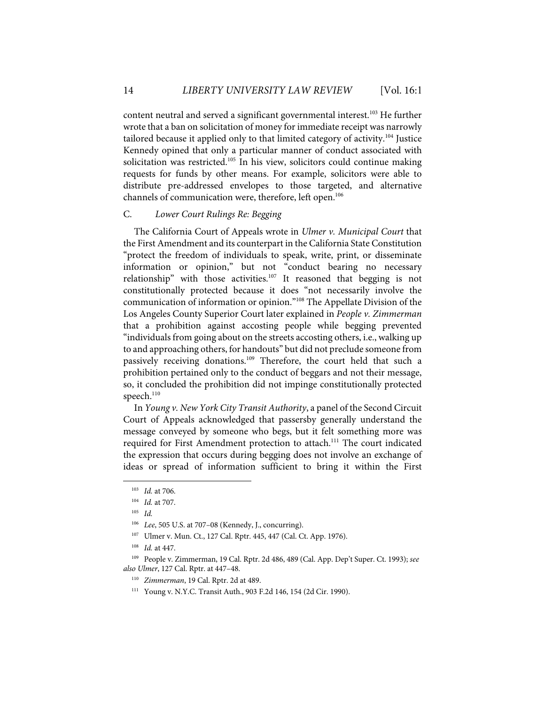content neutral and served a significant governmental interest.<sup>103</sup> He further wrote that a ban on solicitation of money for immediate receipt was narrowly tailored because it applied only to that limited category of activity.<sup>104</sup> Justice Kennedy opined that only a particular manner of conduct associated with solicitation was restricted.<sup>105</sup> In his view, solicitors could continue making requests for funds by other means. For example, solicitors were able to distribute pre-addressed envelopes to those targeted, and alternative channels of communication were, therefore, left open.<sup>106</sup>

## C. *Lower Court Rulings Re: Begging*

The California Court of Appeals wrote in *Ulmer v. Municipal Court* that the First Amendment and its counterpart in the California State Constitution "protect the freedom of individuals to speak, write, print, or disseminate information or opinion," but not "conduct bearing no necessary relationship" with those activities.<sup>107</sup> It reasoned that begging is not constitutionally protected because it does "not necessarily involve the communication of information or opinion."108 The Appellate Division of the Los Angeles County Superior Court later explained in *People v. Zimmerman* that a prohibition against accosting people while begging prevented "individuals from going about on the streets accosting others, i.e., walking up to and approaching others, for handouts" but did not preclude someone from passively receiving donations.<sup>109</sup> Therefore, the court held that such a prohibition pertained only to the conduct of beggars and not their message, so, it concluded the prohibition did not impinge constitutionally protected speech.<sup>110</sup>

In *Young v. New York City Transit Authority*, a panel of the Second Circuit Court of Appeals acknowledged that passersby generally understand the message conveyed by someone who begs, but it felt something more was required for First Amendment protection to attach.<sup>111</sup> The court indicated the expression that occurs during begging does not involve an exchange of ideas or spread of information sufficient to bring it within the First

- 110 *Zimmerman*, 19 Cal. Rptr. 2d at 489.
- 111 Young v. N.Y.C. Transit Auth., 903 F.2d 146, 154 (2d Cir. 1990).

<sup>103</sup> *Id.* at 706.

<sup>104</sup> *Id.* at 707.

<sup>105</sup> *Id.*

<sup>106</sup> *Lee*, 505 U.S. at 707–08 (Kennedy, J., concurring).

<sup>107</sup> Ulmer v. Mun. Ct., 127 Cal. Rptr. 445, 447 (Cal. Ct. App. 1976).

<sup>108</sup> *Id.* at 447.

<sup>109</sup> People v. Zimmerman, 19 Cal. Rptr. 2d 486, 489 (Cal. App. Dep't Super. Ct. 1993); *see also Ulmer*, 127 Cal. Rptr. at 447–48.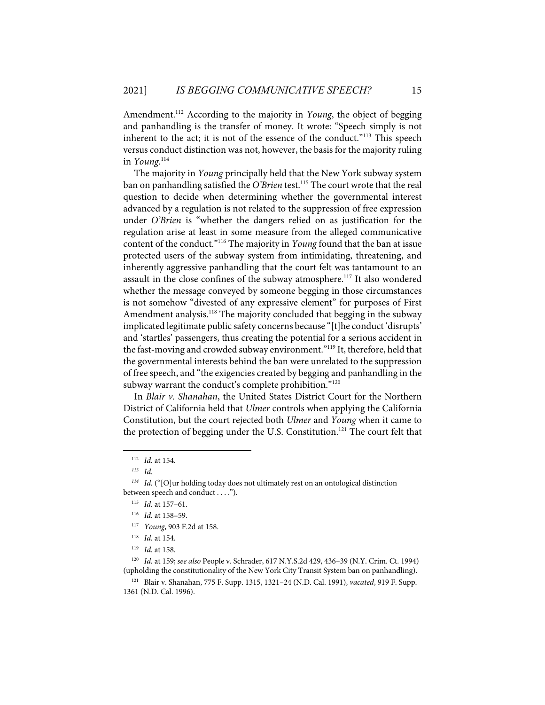Amendment.<sup>112</sup> According to the majority in *Young*, the object of begging and panhandling is the transfer of money. It wrote: "Speech simply is not inherent to the act; it is not of the essence of the conduct."<sup>113</sup> This speech versus conduct distinction was not, however, the basis for the majority ruling in *Young*. 114

The majority in *Young* principally held that the New York subway system ban on panhandling satisfied the *O'Brien* test.<sup>115</sup> The court wrote that the real question to decide when determining whether the governmental interest advanced by a regulation is not related to the suppression of free expression under *O'Brien* is "whether the dangers relied on as justification for the regulation arise at least in some measure from the alleged communicative content of the conduct."116 The majority in *Young* found that the ban at issue protected users of the subway system from intimidating, threatening, and inherently aggressive panhandling that the court felt was tantamount to an assault in the close confines of the subway atmosphere.<sup>117</sup> It also wondered whether the message conveyed by someone begging in those circumstances is not somehow "divested of any expressive element" for purposes of First Amendment analysis.<sup>118</sup> The majority concluded that begging in the subway implicated legitimate public safety concerns because "[t]he conduct 'disrupts' and 'startles' passengers, thus creating the potential for a serious accident in the fast-moving and crowded subway environment."<sup>119</sup> It, therefore, held that the governmental interests behind the ban were unrelated to the suppression of free speech, and "the exigencies created by begging and panhandling in the subway warrant the conduct's complete prohibition."<sup>120</sup>

In *Blair v. Shanahan*, the United States District Court for the Northern District of California held that *Ulmer* controls when applying the California Constitution, but the court rejected both *Ulmer* and *Young* when it came to the protection of begging under the U.S. Constitution.<sup>121</sup> The court felt that

<sup>112</sup> *Id.* at 154.

*<sup>113</sup> Id.*

*<sup>114</sup> Id.* ("[O]ur holding today does not ultimately rest on an ontological distinction between speech and conduct . . . .").

<sup>115</sup> *Id.* at 157–61.

<sup>116</sup> *Id.* at 158–59.

<sup>117</sup> *Young*, 903 F.2d at 158.

<sup>118</sup> *Id.* at 154.

<sup>119</sup> *Id.* at 158.

<sup>120</sup> *Id.* at 159; *see also* People v. Schrader, 617 N.Y.S.2d 429, 436–39 (N.Y. Crim. Ct. 1994) (upholding the constitutionality of the New York City Transit System ban on panhandling).

<sup>121</sup> Blair v. Shanahan, 775 F. Supp. 1315, 1321–24 (N.D. Cal. 1991), *vacated*, 919 F. Supp. 1361 (N.D. Cal. 1996).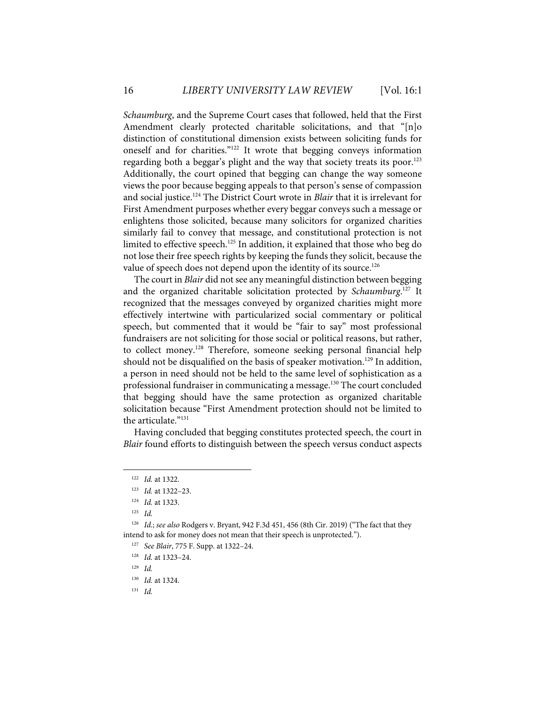*Schaumburg*, and the Supreme Court cases that followed, held that the First Amendment clearly protected charitable solicitations, and that "[n]o distinction of constitutional dimension exists between soliciting funds for oneself and for charities."122 It wrote that begging conveys information regarding both a beggar's plight and the way that society treats its poor.<sup>123</sup> Additionally, the court opined that begging can change the way someone views the poor because begging appeals to that person's sense of compassion and social justice.124 The District Court wrote in *Blair* that it is irrelevant for First Amendment purposes whether every beggar conveys such a message or enlightens those solicited, because many solicitors for organized charities similarly fail to convey that message, and constitutional protection is not limited to effective speech.<sup>125</sup> In addition, it explained that those who beg do not lose their free speech rights by keeping the funds they solicit, because the value of speech does not depend upon the identity of its source.<sup>126</sup>

The court in *Blair* did not see any meaningful distinction between begging and the organized charitable solicitation protected by *Schaumburg*. <sup>127</sup> It recognized that the messages conveyed by organized charities might more effectively intertwine with particularized social commentary or political speech, but commented that it would be "fair to say" most professional fundraisers are not soliciting for those social or political reasons, but rather, to collect money.128 Therefore, someone seeking personal financial help should not be disqualified on the basis of speaker motivation.<sup>129</sup> In addition, a person in need should not be held to the same level of sophistication as a professional fundraiser in communicating a message.<sup>130</sup> The court concluded that begging should have the same protection as organized charitable solicitation because "First Amendment protection should not be limited to the articulate."<sup>131</sup>

Having concluded that begging constitutes protected speech, the court in *Blair* found efforts to distinguish between the speech versus conduct aspects

<sup>122</sup> *Id.* at 1322.

<sup>123</sup> *Id.* at 1322–23.

<sup>124</sup> *Id.* at 1323.

<sup>125</sup> *Id.*

<sup>126</sup> *Id.*; *see also* Rodgers v. Bryant, 942 F.3d 451, 456 (8th Cir. 2019) ("The fact that they intend to ask for money does not mean that their speech is unprotected.").

<sup>127</sup> *See Blair*, 775 F. Supp. at 1322–24.

<sup>128</sup> *Id.* at 1323–24.

<sup>129</sup> *Id.*

<sup>130</sup> *Id.* at 1324.

<sup>131</sup> *Id.*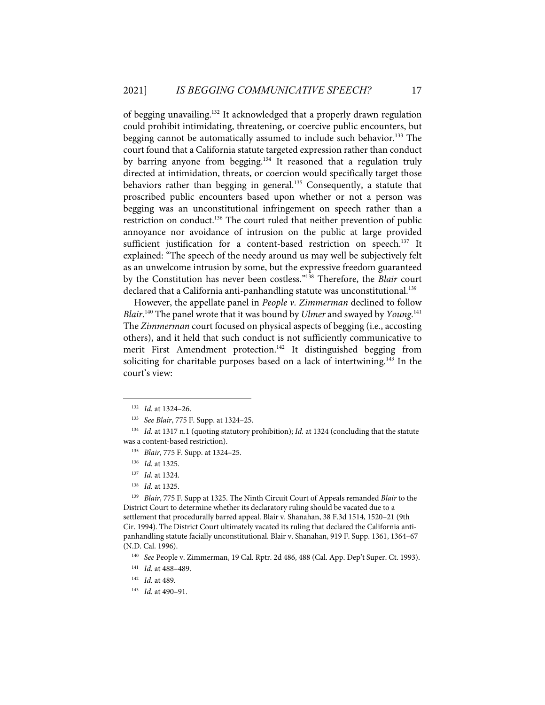of begging unavailing.132 It acknowledged that a properly drawn regulation could prohibit intimidating, threatening, or coercive public encounters, but begging cannot be automatically assumed to include such behavior.<sup>133</sup> The court found that a California statute targeted expression rather than conduct by barring anyone from begging.<sup>134</sup> It reasoned that a regulation truly directed at intimidation, threats, or coercion would specifically target those behaviors rather than begging in general.<sup>135</sup> Consequently, a statute that proscribed public encounters based upon whether or not a person was begging was an unconstitutional infringement on speech rather than a restriction on conduct.<sup>136</sup> The court ruled that neither prevention of public annoyance nor avoidance of intrusion on the public at large provided sufficient justification for a content-based restriction on speech.<sup>137</sup> It explained: "The speech of the needy around us may well be subjectively felt as an unwelcome intrusion by some, but the expressive freedom guaranteed by the Constitution has never been costless."138 Therefore, the *Blair* court declared that a California anti-panhandling statute was unconstitutional.<sup>139</sup>

However, the appellate panel in *People v. Zimmerman* declined to follow *Blair*. <sup>140</sup> The panel wrote that it was bound by *Ulmer* and swayed by *Young*. 141 The *Zimmerman* court focused on physical aspects of begging (i.e., accosting others), and it held that such conduct is not sufficiently communicative to merit First Amendment protection.<sup>142</sup> It distinguished begging from soliciting for charitable purposes based on a lack of intertwining.<sup>143</sup> In the court's view:

138 *Id.* at 1325.

139 *Blair*, 775 F. Supp at 1325. The Ninth Circuit Court of Appeals remanded *Blair* to the District Court to determine whether its declaratory ruling should be vacated due to a settlement that procedurally barred appeal. Blair v. Shanahan, 38 F.3d 1514, 1520–21 (9th Cir. 1994). The District Court ultimately vacated its ruling that declared the California antipanhandling statute facially unconstitutional. Blair v. Shanahan, 919 F. Supp. 1361, 1364–67 (N.D. Cal. 1996).

140 *See* People v. Zimmerman, 19 Cal. Rptr. 2d 486, 488 (Cal. App. Dep't Super. Ct. 1993).

- 142 *Id.* at 489.
- 143 *Id.* at 490–91.

<sup>132</sup> *Id.* at 1324–26.

<sup>133</sup> *See Blair*, 775 F. Supp. at 1324–25.

<sup>134</sup> *Id.* at 1317 n.1 (quoting statutory prohibition); *Id.* at 1324 (concluding that the statute was a content-based restriction).

<sup>135</sup> *Blair*, 775 F. Supp. at 1324–25.

<sup>136</sup> *Id.* at 1325.

<sup>137</sup> *Id.* at 1324.

<sup>141</sup> *Id.* at 488–489.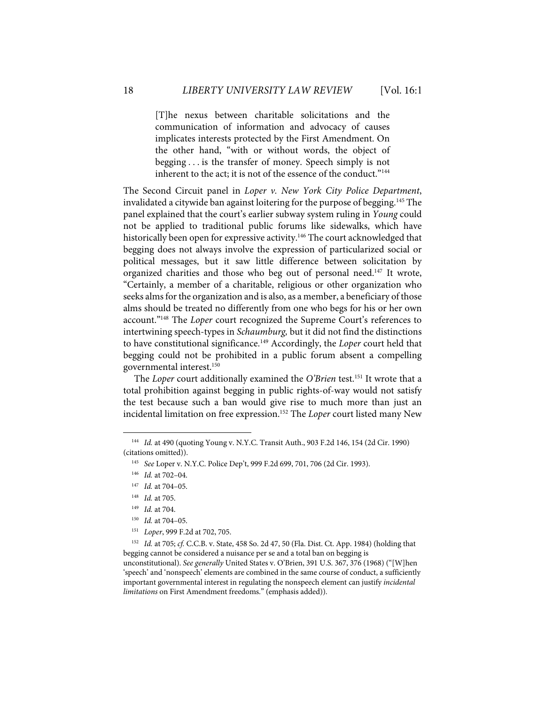[T]he nexus between charitable solicitations and the communication of information and advocacy of causes implicates interests protected by the First Amendment. On the other hand, "with or without words, the object of begging . . . is the transfer of money. Speech simply is not inherent to the act; it is not of the essence of the conduct."<sup>144</sup>

The Second Circuit panel in *Loper v. New York City Police Department*, invalidated a citywide ban against loitering for the purpose of begging.145 The panel explained that the court's earlier subway system ruling in *Young* could not be applied to traditional public forums like sidewalks, which have historically been open for expressive activity.<sup>146</sup> The court acknowledged that begging does not always involve the expression of particularized social or political messages, but it saw little difference between solicitation by organized charities and those who beg out of personal need.<sup>147</sup> It wrote, "Certainly, a member of a charitable, religious or other organization who seeks alms for the organization and is also, as a member, a beneficiary of those alms should be treated no differently from one who begs for his or her own account."148 The *Loper* court recognized the Supreme Court's references to intertwining speech-types in *Schaumburg,* but it did not find the distinctions to have constitutional significance.149 Accordingly, the *Loper* court held that begging could not be prohibited in a public forum absent a compelling governmental interest.150

The *Loper* court additionally examined the *O'Brien* test.<sup>151</sup> It wrote that a total prohibition against begging in public rights-of-way would not satisfy the test because such a ban would give rise to much more than just an incidental limitation on free expression.152 The *Loper* court listed many New

<sup>144</sup> *Id.* at 490 (quoting Young v. N.Y.C. Transit Auth., 903 F.2d 146, 154 (2d Cir. 1990) (citations omitted)).

<sup>145</sup> *See* Loper v. N.Y.C. Police Dep't, 999 F.2d 699, 701, 706 (2d Cir. 1993).

<sup>146</sup> *Id.* at 702–04.

<sup>147</sup> *Id.* at 704–05.

<sup>148</sup> *Id.* at 705.

<sup>149</sup> *Id.* at 704.

<sup>150</sup> *Id.* at 704–05.

<sup>151</sup> *Loper*, 999 F.2d at 702, 705.

<sup>152</sup> *Id.* at 705; *cf.* C.C.B. v. State, 458 So. 2d 47, 50 (Fla. Dist. Ct. App. 1984) (holding that begging cannot be considered a nuisance per se and a total ban on begging is unconstitutional). *See generally* United States v. O'Brien, 391 U.S. 367, 376 (1968) ("[W]hen 'speech' and 'nonspeech' elements are combined in the same course of conduct, a sufficiently important governmental interest in regulating the nonspeech element can justify *incidental limitations* on First Amendment freedoms." (emphasis added)).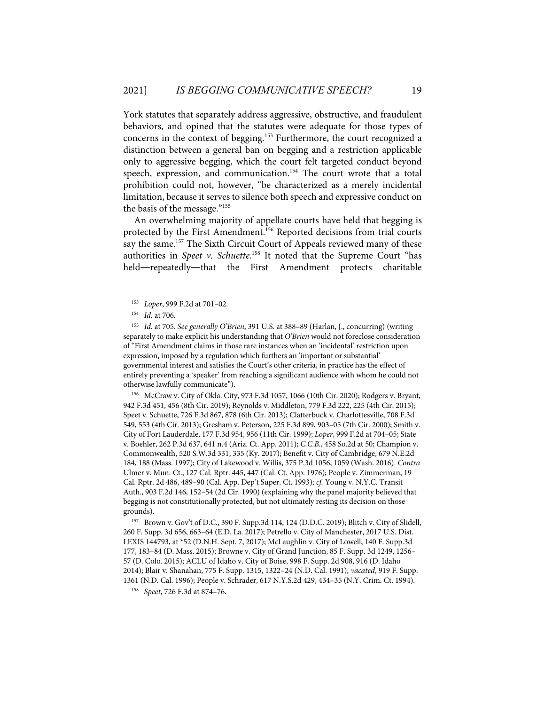York statutes that separately address aggressive, obstructive, and fraudulent behaviors, and opined that the statutes were adequate for those types of concerns in the context of begging.153 Furthermore, the court recognized a distinction between a general ban on begging and a restriction applicable only to aggressive begging, which the court felt targeted conduct beyond speech, expression, and communication.<sup>154</sup> The court wrote that a total prohibition could not, however, "be characterized as a merely incidental limitation, because it serves to silence both speech and expressive conduct on the basis of the message."155

An overwhelming majority of appellate courts have held that begging is protected by the First Amendment.<sup>156</sup> Reported decisions from trial courts say the same.<sup>157</sup> The Sixth Circuit Court of Appeals reviewed many of these authorities in *Speet v. Schuette*. <sup>158</sup> It noted that the Supreme Court "has held—repeatedly—that the First Amendment protects charitable

156 McCraw v. City of Okla. City, 973 F.3d 1057, 1066 (10th Cir. 2020); Rodgers v. Bryant, 942 F.3d 451, 456 (8th Cir. 2019); Reynolds v. Middleton, 779 F.3d 222, 225 (4th Cir. 2015); Speet v. Schuette, 726 F.3d 867, 878 (6th Cir. 2013); Clatterbuck v. Charlottesville, 708 F.3d 549, 553 (4th Cir. 2013); Gresham v. Peterson, 225 F.3d 899, 903–05 (7th Cir. 2000); Smith v. City of Fort Lauderdale, 177 F.3d 954, 956 (11th Cir. 1999); *Loper*, 999 F.2d at 704–05; State v. Boehler, 262 P.3d 637, 641 n.4 (Ariz. Ct. App. 2011); *C.C.B.*, 458 So.2d at 50; Champion v. Commonwealth, 520 S.W.3d 331, 335 (Ky. 2017); Benefit v. City of Cambridge, 679 N.E.2d 184, 188 (Mass. 1997); City of Lakewood v. Willis, 375 P.3d 1056, 1059 (Wash. 2016). *Contra* Ulmer v. Mun. Ct., 127 Cal. Rptr. 445, 447 (Cal. Ct. App. 1976); People v. Zimmerman, 19 Cal. Rptr. 2d 486, 489–90 (Cal. App. Dep't Super. Ct. 1993); *cf.* Young v. N.Y.C. Transit Auth., 903 F.2d 146, 152–54 (2d Cir. 1990) (explaining why the panel majority believed that begging is not constitutionally protected, but not ultimately resting its decision on those grounds).

157 Brown v. Gov't of D.C., 390 F. Supp.3d 114, 124 (D.D.C. 2019); Blitch v. City of Slidell, 260 F. Supp. 3d 656, 663–64 (E.D. La. 2017); Petrello v. City of Manchester, 2017 U.S. Dist. LEXIS 144793, at \*52 (D.N.H. Sept. 7, 2017); McLaughlin v. City of Lowell, 140 F. Supp.3d 177, 183–84 (D. Mass. 2015); Browne v. City of Grand Junction, 85 F. Supp. 3d 1249, 1256– 57 (D. Colo. 2015); ACLU of Idaho v. City of Boise, 998 F. Supp. 2d 908, 916 (D. Idaho 2014); Blair v. Shanahan, 775 F. Supp. 1315, 1322–24 (N.D. Cal. 1991), *vacated*, 919 F. Supp. 1361 (N.D. Cal. 1996); People v. Schrader, 617 N.Y.S.2d 429, 434–35 (N.Y. Crim. Ct. 1994).

<sup>153</sup> *Loper*, 999 F.2d at 701–02.

<sup>154</sup> *Id.* at 706.

<sup>155</sup> *Id.* at 705. *See generally O'Brien*, 391 U.S. at 388–89 (Harlan, J., concurring) (writing separately to make explicit his understanding that *O'Brien* would not foreclose consideration of "First Amendment claims in those rare instances when an 'incidental' restriction upon expression, imposed by a regulation which furthers an 'important or substantial' governmental interest and satisfies the Court's other criteria, in practice has the effect of entirely preventing a 'speaker' from reaching a significant audience with whom he could not otherwise lawfully communicate").

<sup>158</sup> *Speet*, 726 F.3d at 874–76.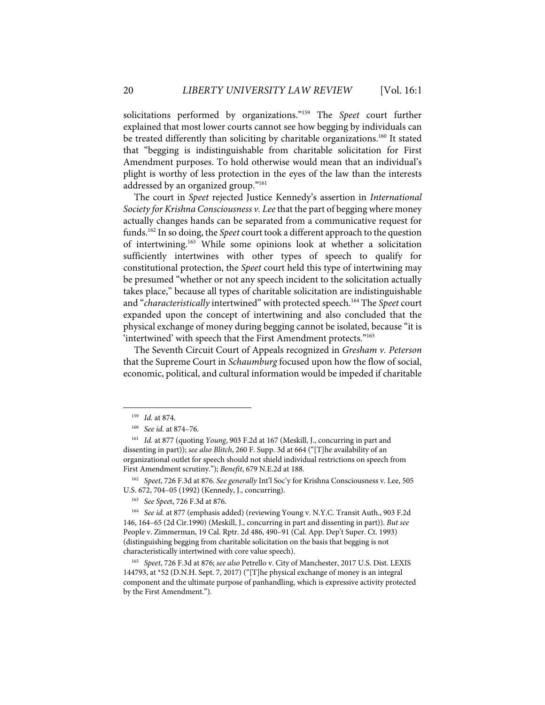solicitations performed by organizations."159 The *Speet* court further explained that most lower courts cannot see how begging by individuals can be treated differently than soliciting by charitable organizations.<sup>160</sup> It stated that "begging is indistinguishable from charitable solicitation for First Amendment purposes. To hold otherwise would mean that an individual's plight is worthy of less protection in the eyes of the law than the interests addressed by an organized group."<sup>161</sup>

The court in *Speet* rejected Justice Kennedy's assertion in *International Society for Krishna Consciousness v. Lee* that the part of begging where money actually changes hands can be separated from a communicative request for funds.162 In so doing, the *Speet* court took a different approach to the question of intertwining.163 While some opinions look at whether a solicitation sufficiently intertwines with other types of speech to qualify for constitutional protection, the *Speet* court held this type of intertwining may be presumed "whether or not any speech incident to the solicitation actually takes place," because all types of charitable solicitation are indistinguishable and "*characteristically* intertwined" with protected speech.164 The *Speet* court expanded upon the concept of intertwining and also concluded that the physical exchange of money during begging cannot be isolated, because "it is 'intertwined' with speech that the First Amendment protects."165

The Seventh Circuit Court of Appeals recognized in *Gresham v. Peterson* that the Supreme Court in *Schaumburg* focused upon how the flow of social, economic, political, and cultural information would be impeded if charitable

162 *Speet*, 726 F.3d at 876. *See generally* Int'l Soc'y for Krishna Consciousness v. Lee, 505 U.S. 672, 704–05 (1992) (Kennedy, J., concurring).

<sup>159</sup> *Id.* at 874.

<sup>160</sup> *See id.* at 874–76.

<sup>161</sup> *Id.* at 877 (quoting *Young*, 903 F.2d at 167 (Meskill, J., concurring in part and dissenting in part)); *see also Blitch*, 260 F. Supp. 3d at 664 ("[T]he availability of an organizational outlet for speech should not shield individual restrictions on speech from First Amendment scrutiny."); *Benefit*, 679 N.E.2d at 188.

<sup>163</sup> *See Spee*t, 726 F.3d at 876.

<sup>164</sup> *See id.* at 877 (emphasis added) (reviewing Young v. N.Y.C. Transit Auth., 903 F.2d 146, 164–65 (2d Cir.1990) (Meskill, J., concurring in part and dissenting in part)). *But see* People v. Zimmerman, 19 Cal. Rptr. 2d 486, 490–91 (Cal. App. Dep't Super. Ct. 1993) (distinguishing begging from charitable solicitation on the basis that begging is not characteristically intertwined with core value speech).

<sup>165</sup> *Speet*, 726 F.3d at 876; *see also* Petrello v. City of Manchester, 2017 U.S. Dist. LEXIS 144793, at \*52 (D.N.H. Sept. 7, 2017) ("[T]he physical exchange of money is an integral component and the ultimate purpose of panhandling, which is expressive activity protected by the First Amendment.").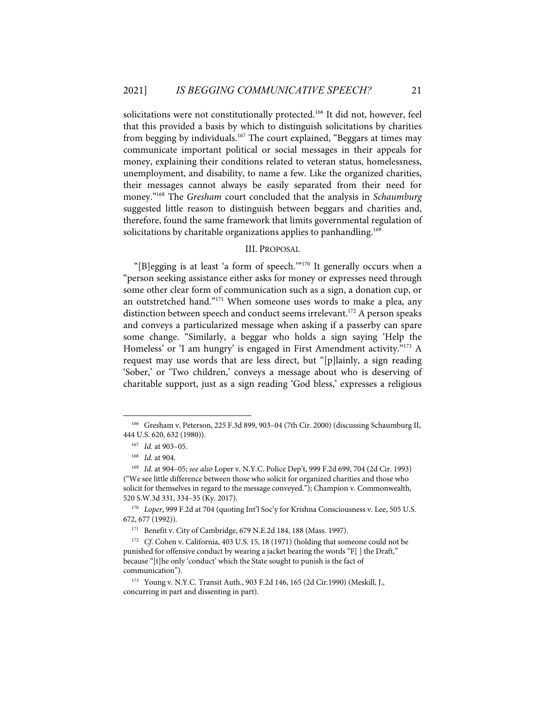solicitations were not constitutionally protected.<sup>166</sup> It did not, however, feel that this provided a basis by which to distinguish solicitations by charities from begging by individuals.<sup>167</sup> The court explained, "Beggars at times may communicate important political or social messages in their appeals for money, explaining their conditions related to veteran status, homelessness, unemployment, and disability, to name a few. Like the organized charities, their messages cannot always be easily separated from their need for money."168 The *Gresham* court concluded that the analysis in *Schaumburg* suggested little reason to distinguish between beggars and charities and, therefore, found the same framework that limits governmental regulation of solicitations by charitable organizations applies to panhandling.<sup>169</sup>

## III. PROPOSAL

"[B]egging is at least 'a form of speech.'"170 It generally occurs when a "person seeking assistance either asks for money or expresses need through some other clear form of communication such as a sign, a donation cup, or an outstretched hand."<sup>171</sup> When someone uses words to make a plea, any distinction between speech and conduct seems irrelevant.<sup>172</sup> A person speaks and conveys a particularized message when asking if a passerby can spare some change. "Similarly, a beggar who holds a sign saying 'Help the Homeless' or 'I am hungry' is engaged in First Amendment activity."<sup>173</sup> A request may use words that are less direct, but "[p]lainly, a sign reading 'Sober,' or 'Two children,' conveys a message about who is deserving of charitable support, just as a sign reading 'God bless,' expresses a religious

<sup>166</sup> Gresham v. Peterson, 225 F.3d 899, 903–04 (7th Cir. 2000) (discussing Schaumburg II, 444 U.S. 620, 632 (1980)).

<sup>167</sup> *Id.* at 903–05.

<sup>168</sup> *Id.* at 904.

<sup>169</sup> *Id.* at 904–05; *see also* Loper v. N.Y.C. Police Dep't, 999 F.2d 699, 704 (2d Cir. 1993) ("We see little difference between those who solicit for organized charities and those who solicit for themselves in regard to the message conveyed."); Champion v. Commonwealth, 520 S.W.3d 331, 334–35 (Ky. 2017).

<sup>170</sup> *Loper*, 999 F.2d at 704 (quoting Int'l Soc'y for Krishna Consciousness v. Lee, 505 U.S. 672, 677 (1992)).

<sup>171</sup> Benefit v. City of Cambridge, 679 N.E.2d 184, 188 (Mass. 1997).

<sup>&</sup>lt;sup>172</sup> *Cf*. Cohen v. California, 403 U.S. 15, 18 (1971) (holding that someone could not be punished for offensive conduct by wearing a jacket bearing the words "F[ ] the Draft," because "[t]he only 'conduct' which the State sought to punish is the fact of communication").

<sup>173</sup> Young v. N.Y.C. Transit Auth., 903 F.2d 146, 165 (2d Cir.1990) (Meskill, J., concurring in part and dissenting in part).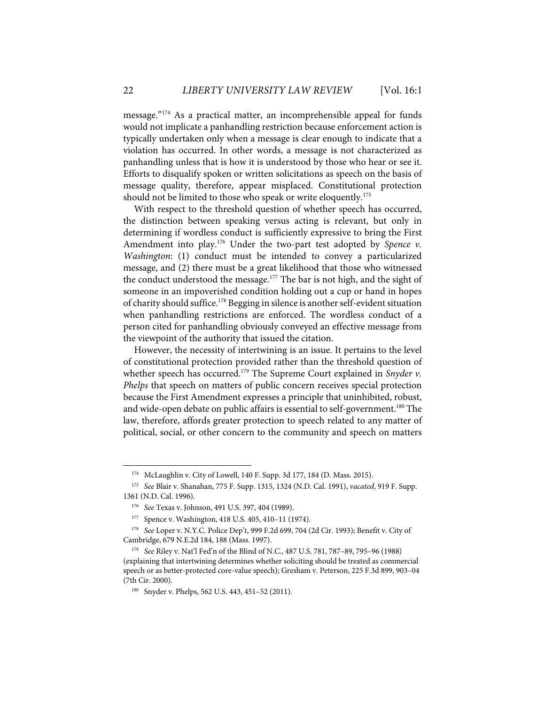message."174 As a practical matter, an incomprehensible appeal for funds would not implicate a panhandling restriction because enforcement action is typically undertaken only when a message is clear enough to indicate that a violation has occurred. In other words, a message is not characterized as panhandling unless that is how it is understood by those who hear or see it. Efforts to disqualify spoken or written solicitations as speech on the basis of message quality, therefore, appear misplaced. Constitutional protection should not be limited to those who speak or write eloquently.<sup>175</sup>

With respect to the threshold question of whether speech has occurred, the distinction between speaking versus acting is relevant, but only in determining if wordless conduct is sufficiently expressive to bring the First Amendment into play.<sup>176</sup> Under the two-part test adopted by Spence v. *Washington*: (1) conduct must be intended to convey a particularized message, and (2) there must be a great likelihood that those who witnessed the conduct understood the message.<sup>177</sup> The bar is not high, and the sight of someone in an impoverished condition holding out a cup or hand in hopes of charity should suffice.<sup>178</sup> Begging in silence is another self-evident situation when panhandling restrictions are enforced. The wordless conduct of a person cited for panhandling obviously conveyed an effective message from the viewpoint of the authority that issued the citation.

However, the necessity of intertwining is an issue. It pertains to the level of constitutional protection provided rather than the threshold question of whether speech has occurred.<sup>179</sup> The Supreme Court explained in *Snyder v*. *Phelps* that speech on matters of public concern receives special protection because the First Amendment expresses a principle that uninhibited, robust, and wide-open debate on public affairs is essential to self-government.<sup>180</sup> The law, therefore, affords greater protection to speech related to any matter of political, social, or other concern to the community and speech on matters

<sup>174</sup> McLaughlin v. City of Lowell, 140 F. Supp. 3d 177, 184 (D. Mass. 2015).

<sup>175</sup> *See* Blair v. Shanahan, 775 F. Supp. 1315, 1324 (N.D. Cal. 1991), *vacated*, 919 F. Supp. 1361 (N.D. Cal. 1996).

<sup>176</sup> *See* Texas v. Johnson, 491 U.S. 397, 404 (1989).

<sup>177</sup> Spence v. Washington, 418 U.S. 405, 410–11 (1974).

<sup>178</sup> *See* Loper v. N.Y.C. Police Dep't, 999 F.2d 699, 704 (2d Cir. 1993); Benefit v. City of Cambridge, 679 N.E.2d 184, 188 (Mass. 1997).

<sup>179</sup> *See* Riley v. Nat'l Fed'n of the Blind of N.C., 487 U.S. 781, 787–89, 795–96 (1988) (explaining that intertwining determines whether soliciting should be treated as commercial speech or as better-protected core-value speech); Gresham v. Peterson, 225 F.3d 899, 903–04 (7th Cir. 2000).

<sup>180</sup> Snyder v. Phelps, 562 U.S. 443, 451–52 (2011).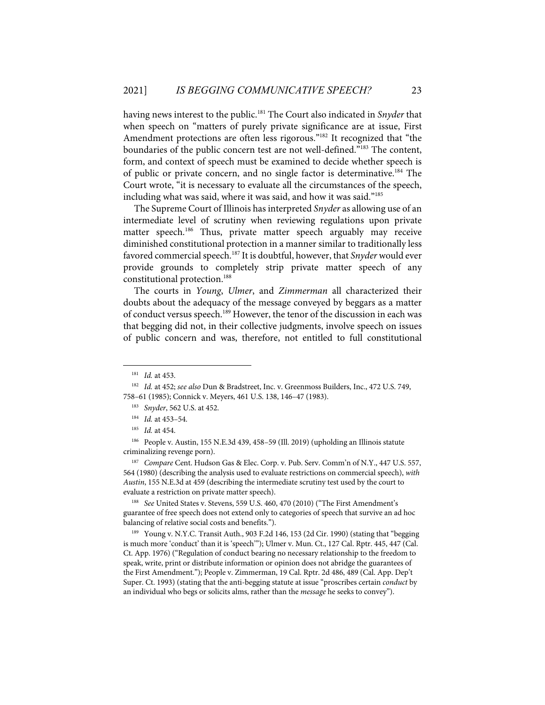having news interest to the public.181 The Court also indicated in *Snyder* that when speech on "matters of purely private significance are at issue, First Amendment protections are often less rigorous."<sup>182</sup> It recognized that "the boundaries of the public concern test are not well-defined."183 The content, form, and context of speech must be examined to decide whether speech is of public or private concern, and no single factor is determinative.<sup>184</sup> The Court wrote, "it is necessary to evaluate all the circumstances of the speech, including what was said, where it was said, and how it was said."185

The Supreme Court of Illinois has interpreted *Snyder* as allowing use of an intermediate level of scrutiny when reviewing regulations upon private matter speech.<sup>186</sup> Thus, private matter speech arguably may receive diminished constitutional protection in a manner similar to traditionally less favored commercial speech.<sup>187</sup> It is doubtful, however, that *Snyder* would ever provide grounds to completely strip private matter speech of any constitutional protection.<sup>188</sup>

The courts in *Young*, *Ulmer*, and *Zimmerman* all characterized their doubts about the adequacy of the message conveyed by beggars as a matter of conduct versus speech.<sup>189</sup> However, the tenor of the discussion in each was that begging did not, in their collective judgments, involve speech on issues of public concern and was, therefore, not entitled to full constitutional

188 *See* United States v. Stevens, 559 U.S. 460, 470 (2010) ("The First Amendment's guarantee of free speech does not extend only to categories of speech that survive an ad hoc balancing of relative social costs and benefits.").

189 Young v. N.Y.C. Transit Auth., 903 F.2d 146, 153 (2d Cir. 1990) (stating that "begging is much more 'conduct' than it is 'speech'"); Ulmer v. Mun. Ct., 127 Cal. Rptr. 445, 447 (Cal. Ct. App. 1976) ("Regulation of conduct bearing no necessary relationship to the freedom to speak, write, print or distribute information or opinion does not abridge the guarantees of the First Amendment."); People v. Zimmerman, 19 Cal. Rptr. 2d 486, 489 (Cal. App. Dep't Super. Ct. 1993) (stating that the anti-begging statute at issue "proscribes certain *conduct* by an individual who begs or solicits alms, rather than the *message* he seeks to convey").

<sup>181</sup> *Id.* at 453.

<sup>182</sup> *Id.* at 452; *see also* Dun & Bradstreet, Inc. v. Greenmoss Builders, Inc., 472 U.S. 749, 758–61 (1985); Connick v. Meyers, 461 U.S. 138, 146–47 (1983).

<sup>183</sup> *Snyder*, 562 U.S. at 452.

<sup>184</sup> *Id.* at 453–54.

<sup>185</sup> *Id.* at 454.

<sup>186</sup> People v. Austin, 155 N.E.3d 439, 458–59 (Ill. 2019) (upholding an Illinois statute criminalizing revenge porn).

<sup>187</sup> *Compare* Cent. Hudson Gas & Elec. Corp. v. Pub. Serv. Comm'n of N.Y., 447 U.S. 557, 564 (1980) (describing the analysis used to evaluate restrictions on commercial speech), *with Austin*, 155 N.E.3d at 459 (describing the intermediate scrutiny test used by the court to evaluate a restriction on private matter speech).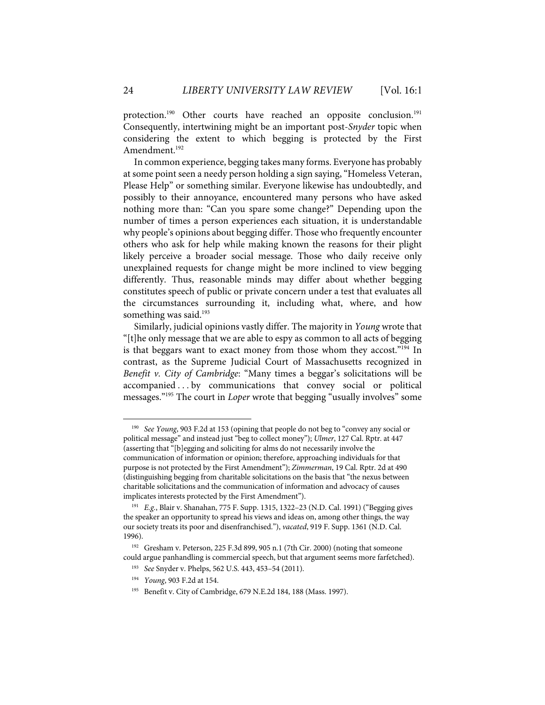protection.<sup>190</sup> Other courts have reached an opposite conclusion.<sup>191</sup> Consequently, intertwining might be an important post-*Snyder* topic when considering the extent to which begging is protected by the First Amendment.<sup>192</sup>

In common experience, begging takes many forms. Everyone has probably at some point seen a needy person holding a sign saying, "Homeless Veteran, Please Help" or something similar. Everyone likewise has undoubtedly, and possibly to their annoyance, encountered many persons who have asked nothing more than: "Can you spare some change?" Depending upon the number of times a person experiences each situation, it is understandable why people's opinions about begging differ. Those who frequently encounter others who ask for help while making known the reasons for their plight likely perceive a broader social message. Those who daily receive only unexplained requests for change might be more inclined to view begging differently. Thus, reasonable minds may differ about whether begging constitutes speech of public or private concern under a test that evaluates all the circumstances surrounding it, including what, where, and how something was said.<sup>193</sup>

Similarly, judicial opinions vastly differ. The majority in *Young* wrote that "[t]he only message that we are able to espy as common to all acts of begging is that beggars want to exact money from those whom they accost."<sup>194</sup> In contrast, as the Supreme Judicial Court of Massachusetts recognized in *Benefit v. City of Cambridge*: "Many times a beggar's solicitations will be accompanied ... by communications that convey social or political messages."195 The court in *Loper* wrote that begging "usually involves" some

<sup>190</sup> *See Young*, 903 F.2d at 153 (opining that people do not beg to "convey any social or political message" and instead just "beg to collect money"); *Ulmer*, 127 Cal. Rptr. at 447 (asserting that "[b]egging and soliciting for alms do not necessarily involve the communication of information or opinion; therefore, approaching individuals for that purpose is not protected by the First Amendment"); *Zimmerman*, 19 Cal. Rptr. 2d at 490 (distinguishing begging from charitable solicitations on the basis that "the nexus between charitable solicitations and the communication of information and advocacy of causes implicates interests protected by the First Amendment").

<sup>191</sup> *E.g.*, Blair v. Shanahan, 775 F. Supp. 1315, 1322–23 (N.D. Cal. 1991) ("Begging gives the speaker an opportunity to spread his views and ideas on, among other things, the way our society treats its poor and disenfranchised."), *vacated*, 919 F. Supp. 1361 (N.D. Cal. 1996).

<sup>&</sup>lt;sup>192</sup> Gresham v. Peterson, 225 F.3d 899, 905 n.1 (7th Cir. 2000) (noting that someone could argue panhandling is commercial speech, but that argument seems more farfetched).

<sup>193</sup> *See* Snyder v. Phelps, 562 U.S. 443, 453–54 (2011).

<sup>194</sup> *Young*, 903 F.2d at 154.

<sup>195</sup> Benefit v. City of Cambridge, 679 N.E.2d 184, 188 (Mass. 1997).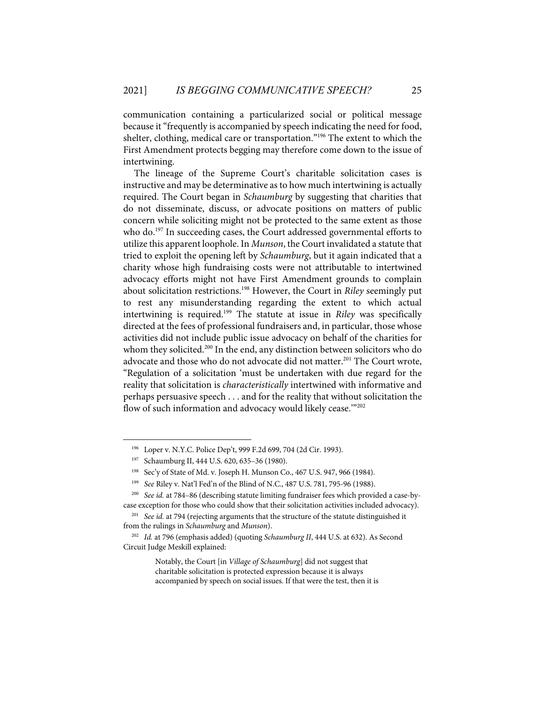communication containing a particularized social or political message because it "frequently is accompanied by speech indicating the need for food, shelter, clothing, medical care or transportation."196 The extent to which the First Amendment protects begging may therefore come down to the issue of intertwining.

The lineage of the Supreme Court's charitable solicitation cases is instructive and may be determinative as to how much intertwining is actually required. The Court began in *Schaumburg* by suggesting that charities that do not disseminate, discuss, or advocate positions on matters of public concern while soliciting might not be protected to the same extent as those who do.<sup>197</sup> In succeeding cases, the Court addressed governmental efforts to utilize this apparent loophole. In *Munson*, the Court invalidated a statute that tried to exploit the opening left by *Schaumburg*, but it again indicated that a charity whose high fundraising costs were not attributable to intertwined advocacy efforts might not have First Amendment grounds to complain about solicitation restrictions.198 However, the Court in *Riley* seemingly put to rest any misunderstanding regarding the extent to which actual intertwining is required.199 The statute at issue in *Riley* was specifically directed at the fees of professional fundraisers and, in particular, those whose activities did not include public issue advocacy on behalf of the charities for whom they solicited.<sup>200</sup> In the end, any distinction between solicitors who do advocate and those who do not advocate did not matter.<sup>201</sup> The Court wrote, "Regulation of a solicitation 'must be undertaken with due regard for the reality that solicitation is *characteristically* intertwined with informative and perhaps persuasive speech . . . and for the reality that without solicitation the flow of such information and advocacy would likely cease."<sup>202</sup>

<sup>196</sup> Loper v. N.Y.C. Police Dep't, 999 F.2d 699, 704 (2d Cir. 1993).

Schaumburg II, 444 U.S. 620, 635-36 (1980).

<sup>198</sup> Sec'y of State of Md. v. Joseph H. Munson Co., 467 U.S. 947, 966 (1984).

<sup>199</sup> *See* Riley v. Nat'l Fed'n of the Blind of N.C., 487 U.S. 781, 795-96 (1988).

<sup>200</sup> *See id.* at 784–86 (describing statute limiting fundraiser fees which provided a case-bycase exception for those who could show that their solicitation activities included advocacy).

<sup>201</sup> *See id.* at 794 (rejecting arguments that the structure of the statute distinguished it from the rulings in *Schaumburg* and *Munson*).

<sup>202</sup> *Id.* at 796 (emphasis added) (quoting *Schaumburg II*, 444 U.S. at 632). As Second Circuit Judge Meskill explained:

Notably, the Court [in *Village of Schaumburg*] did not suggest that charitable solicitation is protected expression because it is always accompanied by speech on social issues. If that were the test, then it is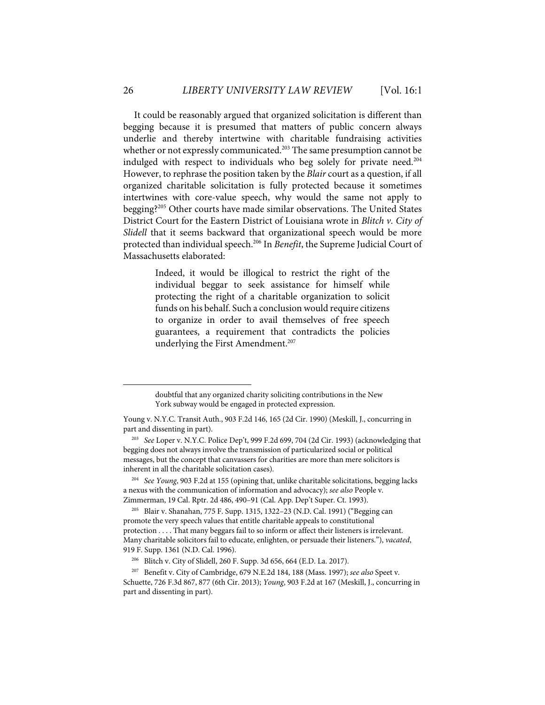It could be reasonably argued that organized solicitation is different than begging because it is presumed that matters of public concern always underlie and thereby intertwine with charitable fundraising activities whether or not expressly communicated.<sup>203</sup> The same presumption cannot be indulged with respect to individuals who beg solely for private need.<sup>204</sup> However, to rephrase the position taken by the *Blair* court as a question, if all organized charitable solicitation is fully protected because it sometimes intertwines with core-value speech, why would the same not apply to begging?205 Other courts have made similar observations. The United States District Court for the Eastern District of Louisiana wrote in *Blitch v. City of Slidell* that it seems backward that organizational speech would be more protected than individual speech.206 In *Benefit*, the Supreme Judicial Court of Massachusetts elaborated:

> Indeed, it would be illogical to restrict the right of the individual beggar to seek assistance for himself while protecting the right of a charitable organization to solicit funds on his behalf. Such a conclusion would require citizens to organize in order to avail themselves of free speech guarantees, a requirement that contradicts the policies underlying the First Amendment.<sup>207</sup>

204 *See Young*, 903 F.2d at 155 (opining that, unlike charitable solicitations, begging lacks a nexus with the communication of information and advocacy); *see also* People v. Zimmerman, 19 Cal. Rptr. 2d 486, 490–91 (Cal. App. Dep't Super. Ct. 1993).

doubtful that any organized charity soliciting contributions in the New York subway would be engaged in protected expression.

Young v. N.Y.C. Transit Auth., 903 F.2d 146, 165 (2d Cir. 1990) (Meskill, J., concurring in part and dissenting in part).

<sup>203</sup> *See* Loper v. N.Y.C. Police Dep't, 999 F.2d 699, 704 (2d Cir. 1993) (acknowledging that begging does not always involve the transmission of particularized social or political messages, but the concept that canvassers for charities are more than mere solicitors is inherent in all the charitable solicitation cases).

<sup>205</sup> Blair v. Shanahan, 775 F. Supp. 1315, 1322–23 (N.D. Cal. 1991) ("Begging can promote the very speech values that entitle charitable appeals to constitutional protection . . . . That many beggars fail to so inform or affect their listeners is irrelevant. Many charitable solicitors fail to educate, enlighten, or persuade their listeners."), *vacated*, 919 F. Supp. 1361 (N.D. Cal. 1996).

<sup>206</sup> Blitch v. City of Slidell, 260 F. Supp. 3d 656, 664 (E.D. La. 2017).

<sup>207</sup> Benefit v. City of Cambridge, 679 N.E.2d 184, 188 (Mass. 1997); *see also* Speet v. Schuette, 726 F.3d 867, 877 (6th Cir. 2013); *Young*, 903 F.2d at 167 (Meskill, J., concurring in part and dissenting in part).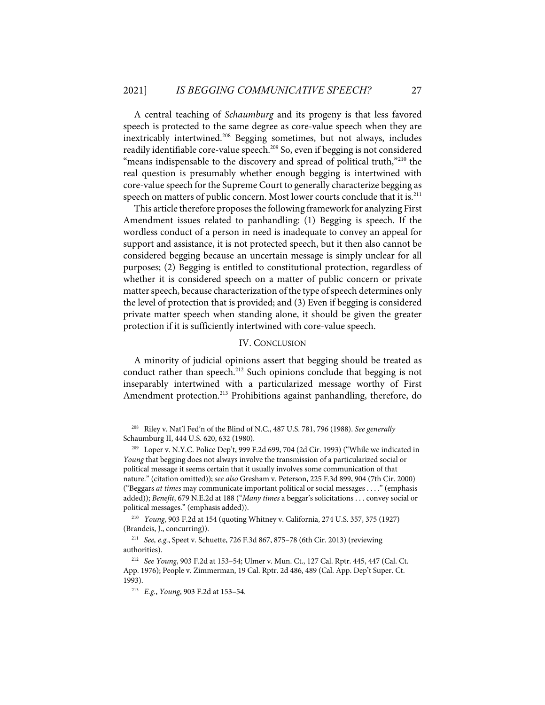A central teaching of *Schaumburg* and its progeny is that less favored speech is protected to the same degree as core-value speech when they are inextricably intertwined.208 Begging sometimes, but not always, includes readily identifiable core-value speech.<sup>209</sup> So, even if begging is not considered "means indispensable to the discovery and spread of political truth,"<sup>210</sup> the real question is presumably whether enough begging is intertwined with core-value speech for the Supreme Court to generally characterize begging as speech on matters of public concern. Most lower courts conclude that it is.<sup>211</sup>

This article therefore proposesthe following framework for analyzing First Amendment issues related to panhandling: (1) Begging is speech. If the wordless conduct of a person in need is inadequate to convey an appeal for support and assistance, it is not protected speech, but it then also cannot be considered begging because an uncertain message is simply unclear for all purposes; (2) Begging is entitled to constitutional protection, regardless of whether it is considered speech on a matter of public concern or private matter speech, because characterization of the type of speech determines only the level of protection that is provided; and (3) Even if begging is considered private matter speech when standing alone, it should be given the greater protection if it is sufficiently intertwined with core-value speech.

## IV. CONCLUSION

A minority of judicial opinions assert that begging should be treated as conduct rather than speech.<sup>212</sup> Such opinions conclude that begging is not inseparably intertwined with a particularized message worthy of First Amendment protection.<sup>213</sup> Prohibitions against panhandling, therefore, do

<sup>208</sup> Riley v. Nat'l Fed'n of the Blind of N.C., 487 U.S. 781, 796 (1988). *See generally* Schaumburg II, 444 U.S. 620, 632 (1980).

<sup>209</sup> Loper v. N.Y.C. Police Dep't, 999 F.2d 699, 704 (2d Cir. 1993) ("While we indicated in *Young* that begging does not always involve the transmission of a particularized social or political message it seems certain that it usually involves some communication of that nature." (citation omitted)); *see also* Gresham v. Peterson, 225 F.3d 899, 904 (7th Cir. 2000) ("Beggars *at times* may communicate important political or social messages . . . ." (emphasis added)); *Benefit*, 679 N.E.2d at 188 ("*Many times* a beggar's solicitations . . . convey social or political messages." (emphasis added)).

<sup>210</sup> *Young*, 903 F.2d at 154 (quoting Whitney v. California, 274 U.S. 357, 375 (1927) (Brandeis, J., concurring)).

<sup>211</sup> *See, e.g.*, Speet v. Schuette, 726 F.3d 867, 875–78 (6th Cir. 2013) (reviewing authorities).

<sup>212</sup> *See Young*, 903 F.2d at 153–54; Ulmer v. Mun. Ct., 127 Cal. Rptr. 445, 447 (Cal. Ct. App. 1976); People v. Zimmerman, 19 Cal. Rptr. 2d 486, 489 (Cal. App. Dep't Super. Ct. 1993).

<sup>213</sup> *E.g.*, *Young*, 903 F.2d at 153–54.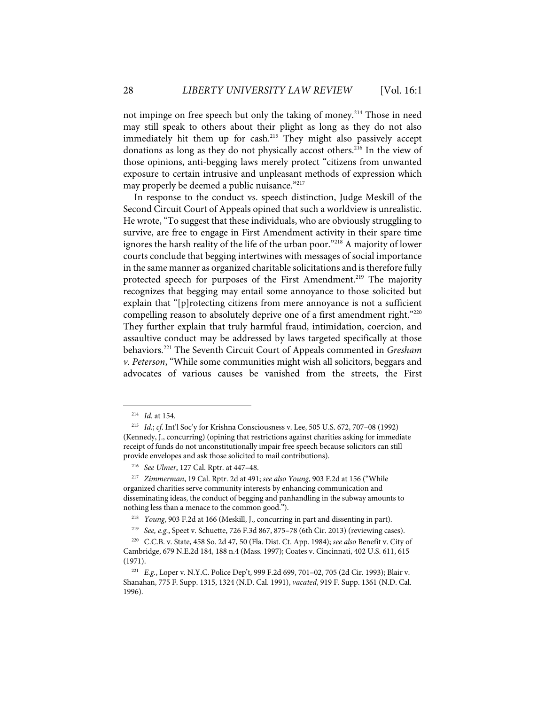not impinge on free speech but only the taking of money.<sup>214</sup> Those in need may still speak to others about their plight as long as they do not also immediately hit them up for cash.<sup>215</sup> They might also passively accept donations as long as they do not physically accost others.<sup>216</sup> In the view of those opinions, anti-begging laws merely protect "citizens from unwanted exposure to certain intrusive and unpleasant methods of expression which may properly be deemed a public nuisance."<sup>217</sup>

In response to the conduct vs. speech distinction, Judge Meskill of the Second Circuit Court of Appeals opined that such a worldview is unrealistic. He wrote, "To suggest that these individuals, who are obviously struggling to survive, are free to engage in First Amendment activity in their spare time ignores the harsh reality of the life of the urban poor."<sup>218</sup> A majority of lower courts conclude that begging intertwines with messages of social importance in the same manner as organized charitable solicitations and is therefore fully protected speech for purposes of the First Amendment.<sup>219</sup> The majority recognizes that begging may entail some annoyance to those solicited but explain that "[p]rotecting citizens from mere annoyance is not a sufficient compelling reason to absolutely deprive one of a first amendment right."<sup>220</sup> They further explain that truly harmful fraud, intimidation, coercion, and assaultive conduct may be addressed by laws targeted specifically at those behaviors.221 The Seventh Circuit Court of Appeals commented in *Gresham v. Peterson*, "While some communities might wish all solicitors, beggars and advocates of various causes be vanished from the streets, the First

<sup>214</sup> *Id.* at 154.

<sup>215</sup> *Id.*; *cf*. Int'l Soc'y for Krishna Consciousness v. Lee, 505 U.S. 672, 707–08 (1992) (Kennedy, J., concurring) (opining that restrictions against charities asking for immediate receipt of funds do not unconstitutionally impair free speech because solicitors can still provide envelopes and ask those solicited to mail contributions).

<sup>216</sup> *See Ulmer*, 127 Cal. Rptr. at 447–48.

<sup>217</sup> *Zimmerman*, 19 Cal. Rptr. 2d at 491; *see also Young*, 903 F.2d at 156 ("While organized charities serve community interests by enhancing communication and disseminating ideas, the conduct of begging and panhandling in the subway amounts to nothing less than a menace to the common good.").

<sup>218</sup> *Young*, 903 F.2d at 166 (Meskill, J., concurring in part and dissenting in part).

<sup>219</sup> *See, e.g.*, Speet v. Schuette, 726 F.3d 867, 875–78 (6th Cir. 2013) (reviewing cases).

<sup>220</sup> C.C.B. v. State, 458 So. 2d 47, 50 (Fla. Dist. Ct. App. 1984); *see also* Benefit v. City of Cambridge, 679 N.E.2d 184, 188 n.4 (Mass. 1997); Coates v. Cincinnati, 402 U.S. 611, 615 (1971).

<sup>221</sup> *E.g.*, Loper v. N.Y.C. Police Dep't, 999 F.2d 699, 701–02, 705 (2d Cir. 1993); Blair v. Shanahan, 775 F. Supp. 1315, 1324 (N.D. Cal. 1991), *vacated*, 919 F. Supp. 1361 (N.D. Cal. 1996).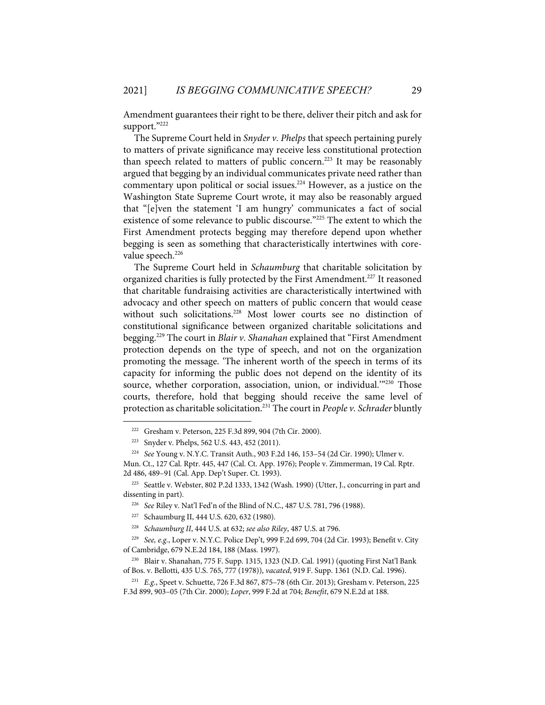Amendment guarantees their right to be there, deliver their pitch and ask for support."222

The Supreme Court held in *Snyder v. Phelps* that speech pertaining purely to matters of private significance may receive less constitutional protection than speech related to matters of public concern.<sup>223</sup> It may be reasonably argued that begging by an individual communicates private need rather than commentary upon political or social issues.<sup>224</sup> However, as a justice on the Washington State Supreme Court wrote, it may also be reasonably argued that "[e]ven the statement 'I am hungry' communicates a fact of social existence of some relevance to public discourse."<sup>225</sup> The extent to which the First Amendment protects begging may therefore depend upon whether begging is seen as something that characteristically intertwines with corevalue speech.<sup>226</sup>

The Supreme Court held in *Schaumburg* that charitable solicitation by organized charities is fully protected by the First Amendment.<sup>227</sup> It reasoned that charitable fundraising activities are characteristically intertwined with advocacy and other speech on matters of public concern that would cease without such solicitations.<sup>228</sup> Most lower courts see no distinction of constitutional significance between organized charitable solicitations and begging.229 The court in *Blair v. Shanahan* explained that "First Amendment protection depends on the type of speech, and not on the organization promoting the message. 'The inherent worth of the speech in terms of its capacity for informing the public does not depend on the identity of its source, whether corporation, association, union, or individual."<sup>230</sup> Those courts, therefore, hold that begging should receive the same level of protection as charitable solicitation.231 The court in *People v. Schrader* bluntly

<sup>222</sup> Gresham v. Peterson, 225 F.3d 899, 904 (7th Cir. 2000).

<sup>223</sup> Snyder v. Phelps, 562 U.S. 443, 452 (2011).

<sup>224</sup> *See* Young v. N.Y.C. Transit Auth., 903 F.2d 146, 153–54 (2d Cir. 1990); Ulmer v. Mun. Ct., 127 Cal. Rptr. 445, 447 (Cal. Ct. App. 1976); People v. Zimmerman, 19 Cal. Rptr. 2d 486, 489–91 (Cal. App. Dep't Super. Ct. 1993).

<sup>225</sup> Seattle v. Webster, 802 P.2d 1333, 1342 (Wash. 1990) (Utter, J., concurring in part and dissenting in part).

<sup>226</sup> *See* Riley v. Nat'l Fed'n of the Blind of N.C., 487 U.S. 781, 796 (1988).

<sup>227</sup> Schaumburg II, 444 U.S. 620, 632 (1980).

<sup>228</sup> *Schaumburg II*, 444 U.S. at 632; *see also Riley*, 487 U.S. at 796.

<sup>229</sup> *See, e.g.*, Loper v. N.Y.C. Police Dep't, 999 F.2d 699, 704 (2d Cir. 1993); Benefit v. City of Cambridge, 679 N.E.2d 184, 188 (Mass. 1997).

<sup>230</sup> Blair v. Shanahan, 775 F. Supp. 1315, 1323 (N.D. Cal. 1991) (quoting First Nat'l Bank of Bos. v. Bellotti, 435 U.S. 765, 777 (1978)), *vacated*, 919 F. Supp. 1361 (N.D. Cal. 1996).

<sup>231</sup> *E.g.*, Speet v. Schuette, 726 F.3d 867, 875–78 (6th Cir. 2013); Gresham v. Peterson, 225 F.3d 899, 903–05 (7th Cir. 2000); *Loper*, 999 F.2d at 704; *Benefit*, 679 N.E.2d at 188.